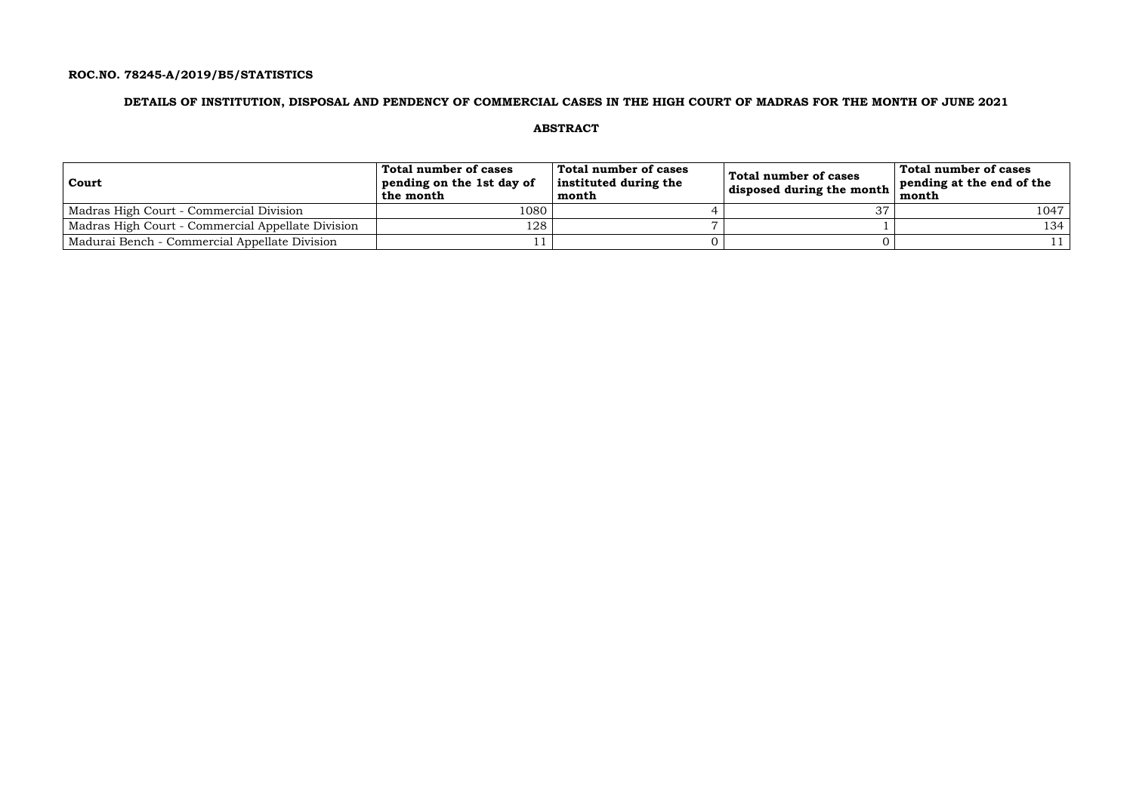### **ROC.NO. 78245-A/2019/B5/STATISTICS**

### **DETAILS OF INSTITUTION, DISPOSAL AND PENDENCY OF COMMERCIAL CASES IN THE HIGH COURT OF MADRAS FOR THE MONTH OF JUNE 2021**

### **ABSTRACT**

| Court                                             | Total number of cases<br>pending on the 1st day of<br>the month | Total number of cases<br>instituted during the<br>month | Total number of cases<br>disposed during the month | Total number of cases<br>pending at the end of the<br>month |
|---------------------------------------------------|-----------------------------------------------------------------|---------------------------------------------------------|----------------------------------------------------|-------------------------------------------------------------|
| Madras High Court - Commercial Division           | 1080                                                            |                                                         |                                                    | 1047                                                        |
| Madras High Court - Commercial Appellate Division | 128                                                             |                                                         |                                                    | 134                                                         |
| Madurai Bench - Commercial Appellate Division     |                                                                 |                                                         |                                                    |                                                             |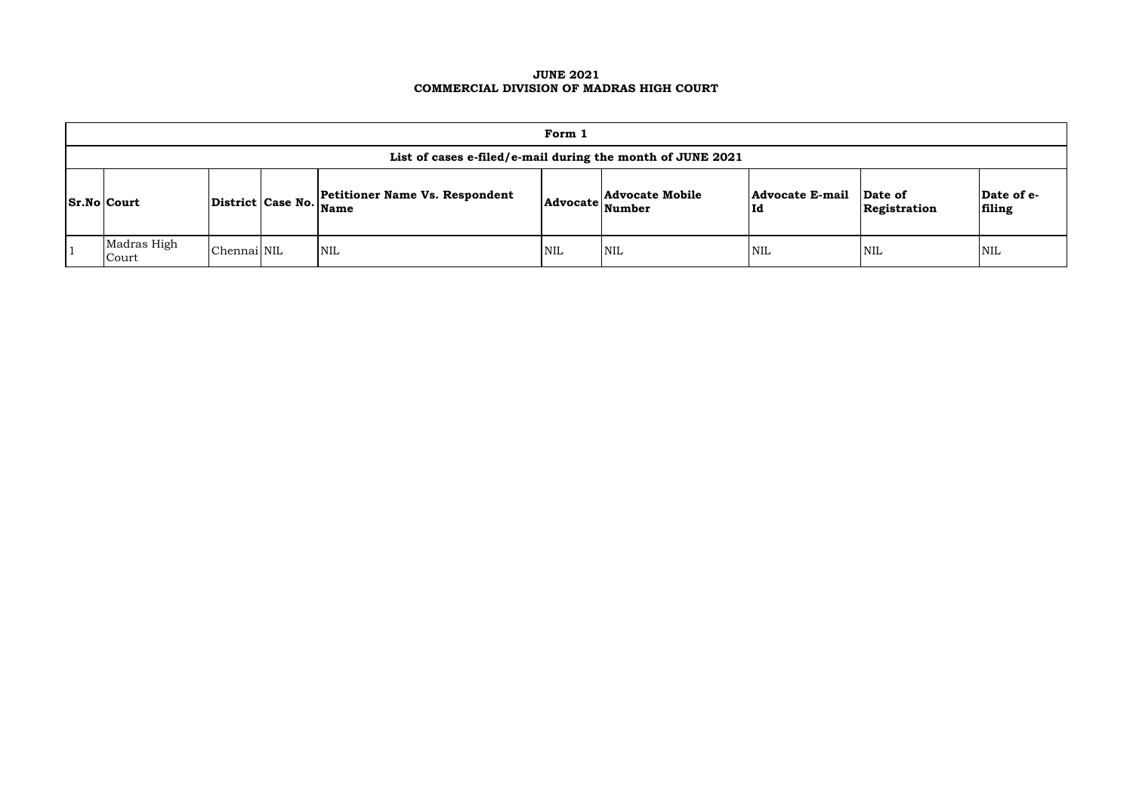### **JUNE 2021 COMMERCIAL DIVISION OF MADRAS HIGH COURT**

|                 | Form 1                                                     |             |  |                                                                 |            |                                         |                               |                         |                      |  |  |  |  |
|-----------------|------------------------------------------------------------|-------------|--|-----------------------------------------------------------------|------------|-----------------------------------------|-------------------------------|-------------------------|----------------------|--|--|--|--|
|                 | List of cases e-filed/e-mail during the month of JUNE 2021 |             |  |                                                                 |            |                                         |                               |                         |                      |  |  |  |  |
| $ Sr.No $ Court |                                                            |             |  | <b>Petitioner Name Vs. Respondent</b><br>District Case No. Name | Advocate   | <b>Advocate Mobile</b><br><b>Number</b> | <b>Advocate E-mail</b><br> Id | Date of<br>Registration | Date of e-<br>filing |  |  |  |  |
|                 | Madras High<br>Court                                       | Chennai NIL |  | NIL                                                             | <b>NIL</b> | <b>NIL</b>                              | <b>NIL</b>                    | <b>NIL</b>              | <b>NIL</b>           |  |  |  |  |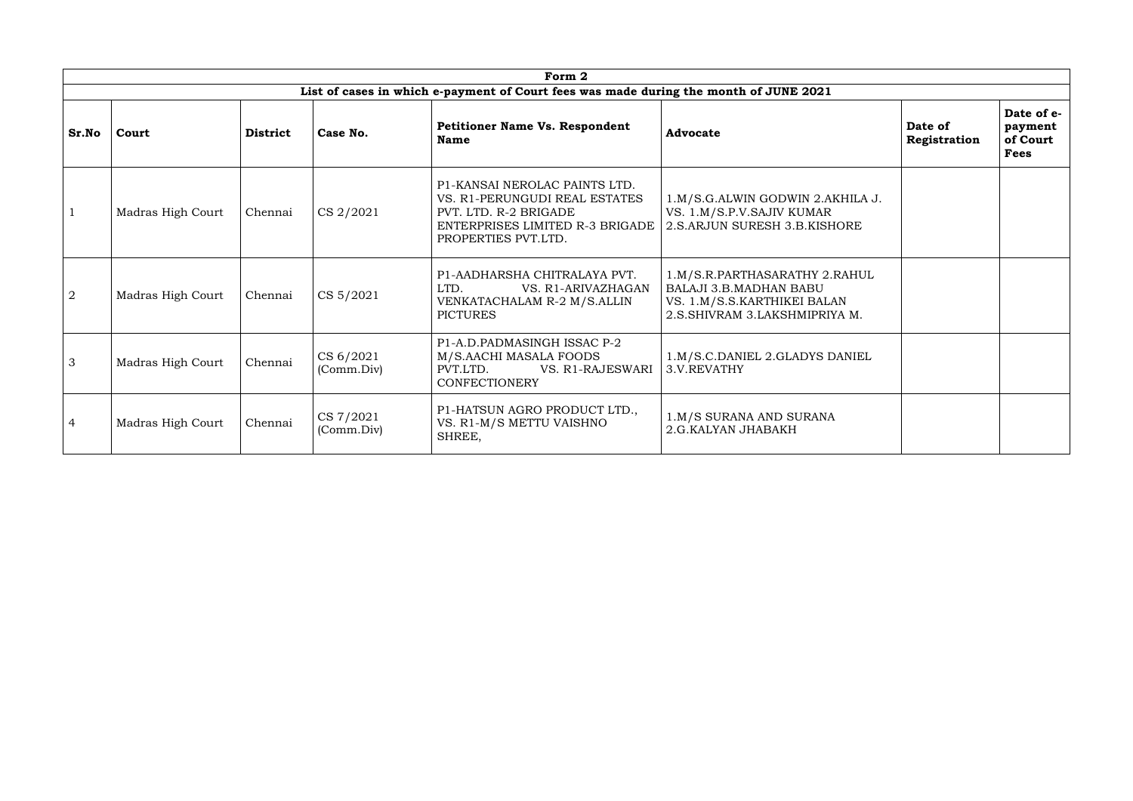| Form 2         |                   |                 |                         |                                                                                                                                                   |                                                                                                                                  |                         |                                                  |  |  |  |  |  |
|----------------|-------------------|-----------------|-------------------------|---------------------------------------------------------------------------------------------------------------------------------------------------|----------------------------------------------------------------------------------------------------------------------------------|-------------------------|--------------------------------------------------|--|--|--|--|--|
|                |                   |                 |                         | List of cases in which e-payment of Court fees was made during the month of JUNE 2021                                                             |                                                                                                                                  |                         |                                                  |  |  |  |  |  |
| <b>Sr.No</b>   | Court             | <b>District</b> | Case No.                | <b>Petitioner Name Vs. Respondent</b><br><b>Name</b>                                                                                              | <b>Advocate</b>                                                                                                                  | Date of<br>Registration | Date of e-<br>payment<br>of Court<br><b>Fees</b> |  |  |  |  |  |
| $\mathbf{1}$   | Madras High Court | Chennai         | CS 2/2021               | P1-KANSAI NEROLAC PAINTS LTD.<br>VS. R1-PERUNGUDI REAL ESTATES<br>PVT. LTD. R-2 BRIGADE<br>ENTERPRISES LIMITED R-3 BRIGADE<br>PROPERTIES PVT.LTD. | 1.M/S.G.ALWIN GODWIN 2.AKHILA J.<br>VS. 1.M/S.P.V.SAJIV KUMAR<br>2.S.ARJUN SURESH 3.B.KISHORE                                    |                         |                                                  |  |  |  |  |  |
| $\overline{2}$ | Madras High Court | Chennai         | CS 5/2021               | P1-AADHARSHA CHITRALAYA PVT.<br>LTD.<br>VS. R1-ARIVAZHAGAN<br>VENKATACHALAM R-2 M/S.ALLIN<br><b>PICTURES</b>                                      | 1.M/S.R.PARTHASARATHY 2.RAHUL<br><b>BALAJI 3.B.MADHAN BABU</b><br>VS. 1.M/S.S.KARTHIKEI BALAN<br>2.S. SHIVRAM 3. LAKSHMIPRIYA M. |                         |                                                  |  |  |  |  |  |
| $\mathcal{S}$  | Madras High Court | Chennai         | CS 6/2021<br>(Comm.Div) | P1-A.D.PADMASINGH ISSAC P-2<br>M/S.AACHI MASALA FOODS<br>PVT.LTD.<br>VS. R1-RAJESWARI<br><b>CONFECTIONERY</b>                                     | 1.M/S.C.DANIEL 2.GLADYS DANIEL<br>3.V.REVATHY                                                                                    |                         |                                                  |  |  |  |  |  |
| $\overline{4}$ | Madras High Court | Chennai         | CS 7/2021<br>(Comm.Div) | P1-HATSUN AGRO PRODUCT LTD.,<br>VS. R1-M/S METTU VAISHNO<br>SHREE,                                                                                | 1.M/S SURANA AND SURANA<br>2.G. KALYAN JHABAKH                                                                                   |                         |                                                  |  |  |  |  |  |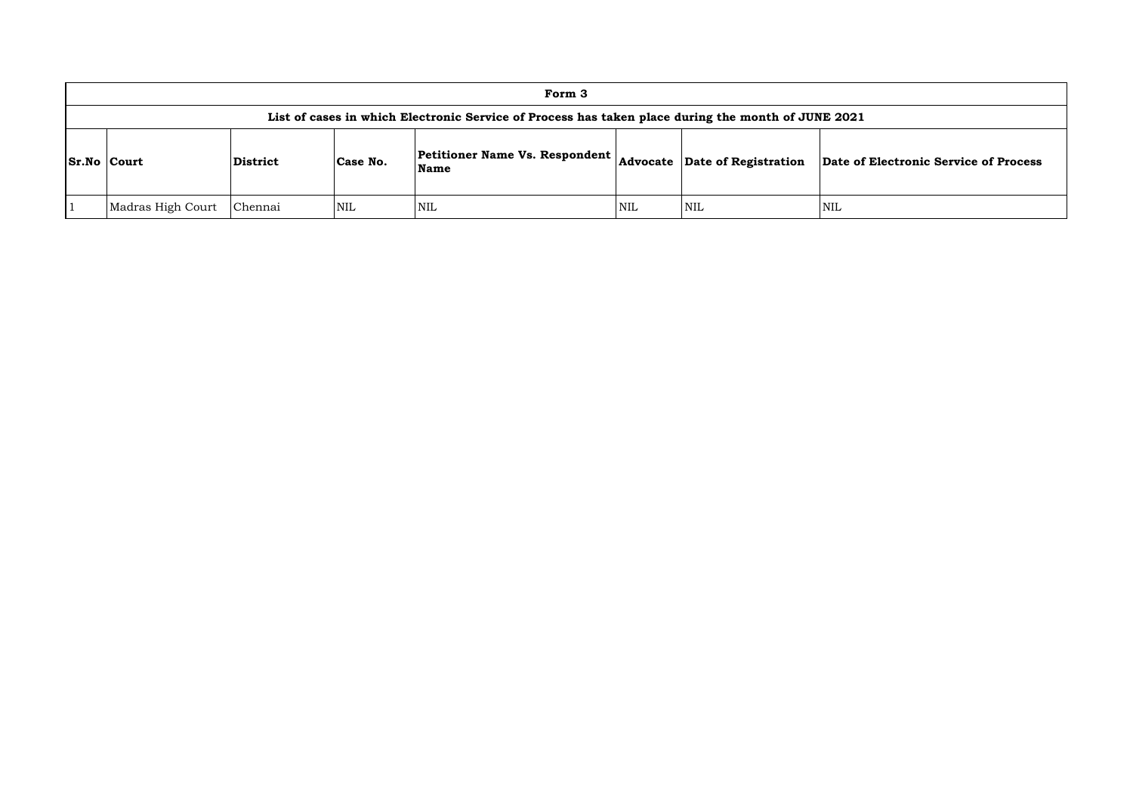|                    | Form 3            |                 |            |                                                                                                    |            |                               |            |  |  |  |  |  |  |  |
|--------------------|-------------------|-----------------|------------|----------------------------------------------------------------------------------------------------|------------|-------------------------------|------------|--|--|--|--|--|--|--|
|                    |                   |                 |            | List of cases in which Electronic Service of Process has taken place during the month of JUNE 2021 |            |                               |            |  |  |  |  |  |  |  |
| <b>Sr.No Court</b> |                   | <b>District</b> | Case No.   | <b>Petitioner Name Vs. Respondent</b><br>Name                                                      |            | Advocate Date of Registration | Date of    |  |  |  |  |  |  |  |
|                    | Madras High Court | Chennai         | <b>NIL</b> | NIL                                                                                                | <b>NIL</b> | NIL                           | <b>NIL</b> |  |  |  |  |  |  |  |

**Name Advocate Date of Registration Date of Electronic Service of Process**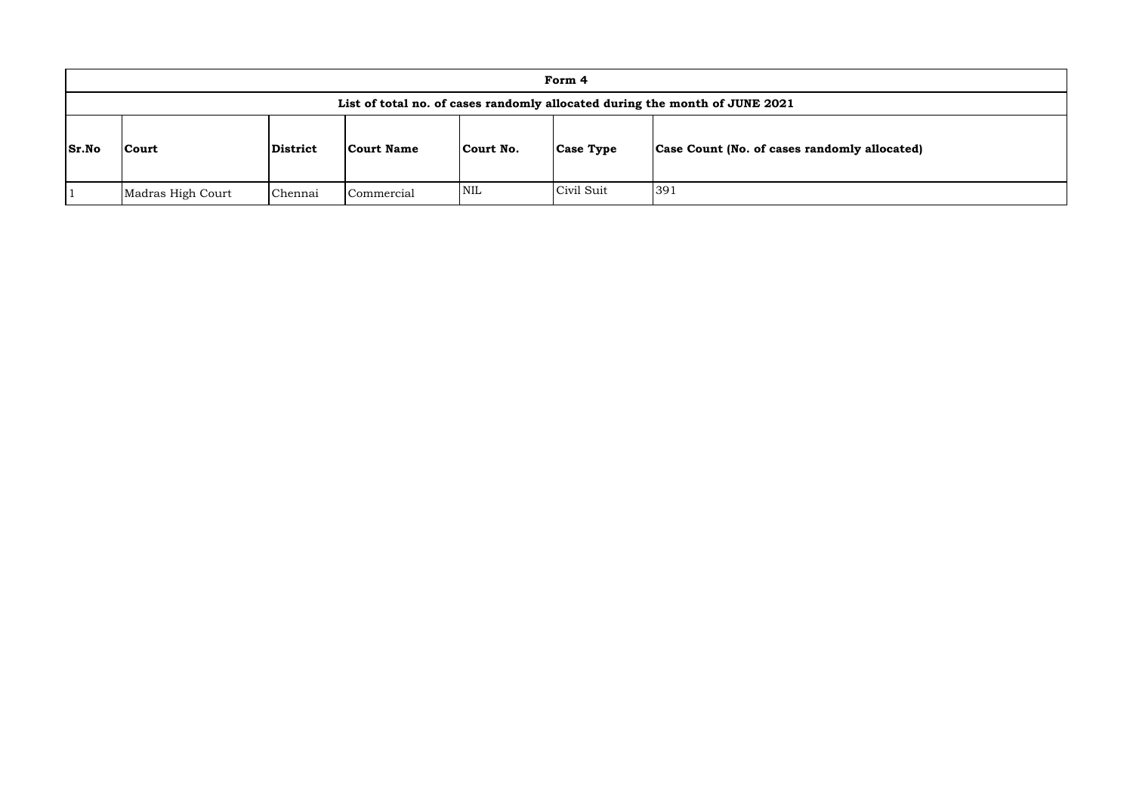|              |                   | Form 4   |                   |            |                  |                                                                             |  |  |
|--------------|-------------------|----------|-------------------|------------|------------------|-----------------------------------------------------------------------------|--|--|
|              |                   |          |                   |            |                  | List of total no. of cases randomly allocated during the month of JUNE 2021 |  |  |
| <b>Sr.No</b> | <b>Court</b>      | District | <b>Court Name</b> | Court No.  | <b>Case Type</b> | Case Count (No. of cases randomly allocated)                                |  |  |
|              | Madras High Court | Chennai  | Commercial        | <b>NIL</b> | Civil Suit       | 391                                                                         |  |  |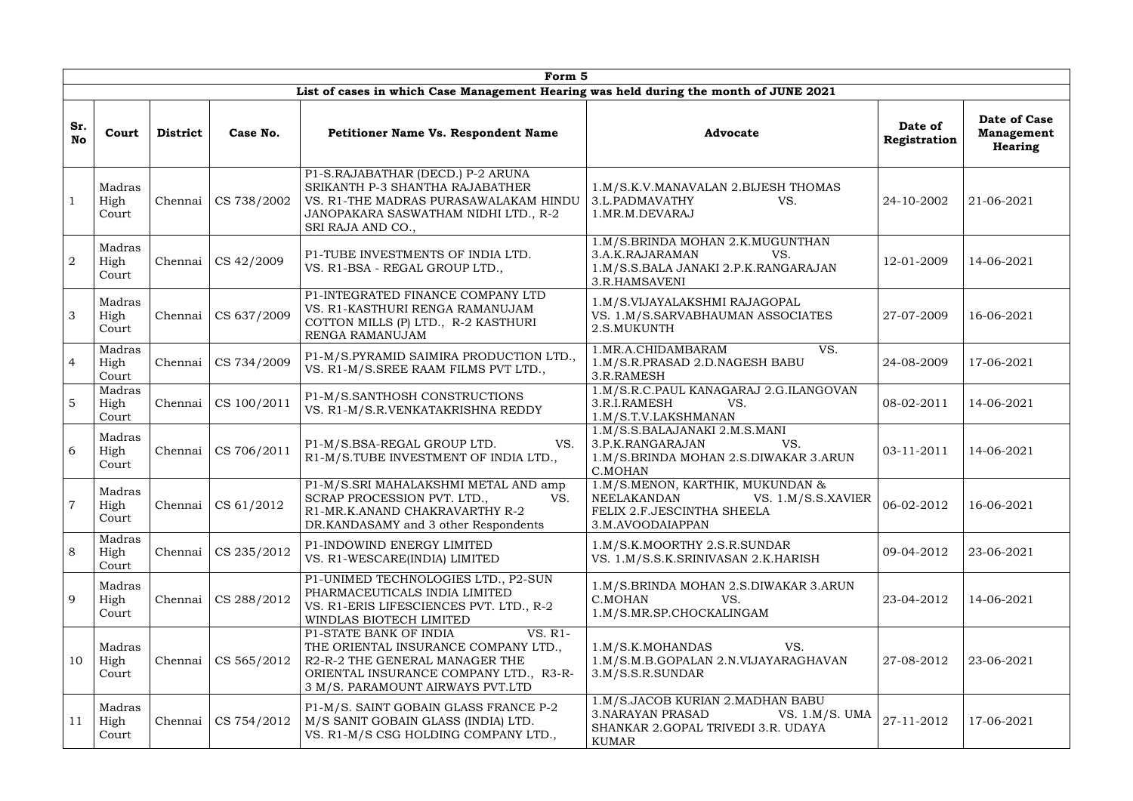|                  | Form 5                  |                 |             |                                                                                                                                                                                           |                                                                                                                                 |                         |                                                            |  |  |  |  |  |  |
|------------------|-------------------------|-----------------|-------------|-------------------------------------------------------------------------------------------------------------------------------------------------------------------------------------------|---------------------------------------------------------------------------------------------------------------------------------|-------------------------|------------------------------------------------------------|--|--|--|--|--|--|
|                  |                         |                 |             | List of cases in which Case Management Hearing was held during the month of JUNE 2021                                                                                                     |                                                                                                                                 |                         |                                                            |  |  |  |  |  |  |
| Sr.<br><b>No</b> | Court                   | <b>District</b> | Case No.    | <b>Petitioner Name Vs. Respondent Name</b>                                                                                                                                                | <b>Advocate</b>                                                                                                                 | Date of<br>Registration | <b>Date of Case</b><br><b>Management</b><br><b>Hearing</b> |  |  |  |  |  |  |
|                  | Madras<br>High<br>Court | Chennai         | CS 738/2002 | P1-S.RAJABATHAR (DECD.) P-2 ARUNA<br>SRIKANTH P-3 SHANTHA RAJABATHER<br>VS. R1-THE MADRAS PURASAWALAKAM HINDU<br>JANOPAKARA SASWATHAM NIDHI LTD., R-2<br>SRI RAJA AND CO.,                | 1.M/S.K.V.MANAVALAN 2.BIJESH THOMAS<br>3.L.PADMAVATHY<br>VS.<br>1.MR.M.DEVARAJ                                                  | 24-10-2002              | 21-06-2021                                                 |  |  |  |  |  |  |
| $\overline{2}$   | Madras<br>High<br>Court | Chennai         | CS 42/2009  | P1-TUBE INVESTMENTS OF INDIA LTD.<br>VS. R1-BSA - REGAL GROUP LTD.,                                                                                                                       | 1.M/S.BRINDA MOHAN 2.K.MUGUNTHAN<br>3.A.K.RAJARAMAN<br>VS.<br>1.M/S.S.BALA JANAKI 2.P.K.RANGARAJAN<br>3.R.HAMSAVENI             | 12-01-2009              | 14-06-2021                                                 |  |  |  |  |  |  |
| 3                | Madras<br>High<br>Court | Chennai         | CS 637/2009 | P1-INTEGRATED FINANCE COMPANY LTD<br>VS. R1-KASTHURI RENGA RAMANUJAM<br>COTTON MILLS (P) LTD., R-2 KASTHURI<br>RENGA RAMANUJAM                                                            | 1.M/S.VIJAYALAKSHMI RAJAGOPAL<br>VS. 1.M/S.SARVABHAUMAN ASSOCIATES<br>2.S.MUKUNTH                                               | 27-07-2009              | 16-06-2021                                                 |  |  |  |  |  |  |
| $\overline{4}$   | Madras<br>High<br>Court | Chennai         | CS 734/2009 | P1-M/S.PYRAMID SAIMIRA PRODUCTION LTD.,<br>VS. R1-M/S.SREE RAAM FILMS PVT LTD.,                                                                                                           | 1.MR.A.CHIDAMBARAM<br>VS.<br>1.M/S.R.PRASAD 2.D.NAGESH BABU<br>3.R.RAMESH                                                       | 24-08-2009              | 17-06-2021                                                 |  |  |  |  |  |  |
| $\overline{5}$   | Madras<br>High<br>Court | Chennai         | CS 100/2011 | P1-M/S.SANTHOSH CONSTRUCTIONS<br>VS. R1-M/S.R.VENKATAKRISHNA REDDY                                                                                                                        | 1.M/S.R.C.PAUL KANAGARAJ 2.G.ILANGOVAN<br>3.R.I.RAMESH<br>VS.<br>1.M/S.T.V.LAKSHMANAN                                           | 08-02-2011              | 14-06-2021                                                 |  |  |  |  |  |  |
| 6                | Madras<br>High<br>Court | Chennai         | CS 706/2011 | P1-M/S.BSA-REGAL GROUP LTD.<br>VS.<br>R1-M/S.TUBE INVESTMENT OF INDIA LTD.,                                                                                                               | 1.M/S.S.BALAJANAKI 2.M.S.MANI<br>3.P.K.RANGARAJAN<br>VS.<br>1.M/S.BRINDA MOHAN 2.S.DIWAKAR 3.ARUN<br>C.MOHAN                    | 03-11-2011              | 14-06-2021                                                 |  |  |  |  |  |  |
| $\overline{7}$   | Madras<br>High<br>Court | Chennai         | CS 61/2012  | P1-M/S.SRI MAHALAKSHMI METAL AND amp<br>SCRAP PROCESSION PVT. LTD.,<br>VS.<br>R1-MR.K.ANAND CHAKRAVARTHY R-2<br>DR.KANDASAMY and 3 other Respondents                                      | 1.M/S.MENON, KARTHIK, MUKUNDAN &<br>NEELAKANDAN<br>VS. 1.M/S.S.XAVIER<br>FELIX 2.F.JESCINTHA SHEELA<br>3.M.AVOODAIAPPAN         | 06-02-2012              | 16-06-2021                                                 |  |  |  |  |  |  |
| 8                | Madras<br>High<br>Court | Chennai         | CS 235/2012 | P1-INDOWIND ENERGY LIMITED<br>VS. R1-WESCARE(INDIA) LIMITED                                                                                                                               | 1.M/S.K.MOORTHY 2.S.R.SUNDAR<br>VS. 1.M/S.S.K.SRINIVASAN 2.K.HARISH                                                             | 09-04-2012              | 23-06-2021                                                 |  |  |  |  |  |  |
| 9                | Madras<br>High<br>Court | Chennai         | CS 288/2012 | P1-UNIMED TECHNOLOGIES LTD., P2-SUN<br>PHARMACEUTICALS INDIA LIMITED<br>VS. R1-ERIS LIFESCIENCES PVT. LTD., R-2<br>WINDLAS BIOTECH LIMITED                                                | 1.M/S.BRINDA MOHAN 2.S.DIWAKAR 3.ARUN<br>C.MOHAN<br>VS.<br>1.M/S.MR.SP.CHOCKALINGAM                                             | 23-04-2012              | 14-06-2021                                                 |  |  |  |  |  |  |
| 10               | Madras<br>High<br>Court | Chennai         | CS 565/2012 | VS. R1-<br>P1-STATE BANK OF INDIA<br>THE ORIENTAL INSURANCE COMPANY LTD.,<br>R2-R-2 THE GENERAL MANAGER THE<br>ORIENTAL INSURANCE COMPANY LTD., R3-R-<br>3 M/S. PARAMOUNT AIRWAYS PVT.LTD | 1.M/S.K.MOHANDAS<br>VS.<br>1.M/S.M.B.GOPALAN 2.N.VIJAYARAGHAVAN<br>3.M/S.S.R.SUNDAR                                             | 27-08-2012              | 23-06-2021                                                 |  |  |  |  |  |  |
| 11               | Madras<br>High<br>Court | Chennai         | CS 754/2012 | P1-M/S. SAINT GOBAIN GLASS FRANCE P-2<br>M/S SANIT GOBAIN GLASS (INDIA) LTD.<br>VS. R1-M/S CSG HOLDING COMPANY LTD.,                                                                      | 1.M/S.JACOB KURIAN 2.MADHAN BABU<br><b>3. NARAYAN PRASAD</b><br>VS. $1.M/S. UMA$<br>SHANKAR 2.GOPAL TRIVEDI 3.R. UDAYA<br>KUMAR | 27-11-2012              | 17-06-2021                                                 |  |  |  |  |  |  |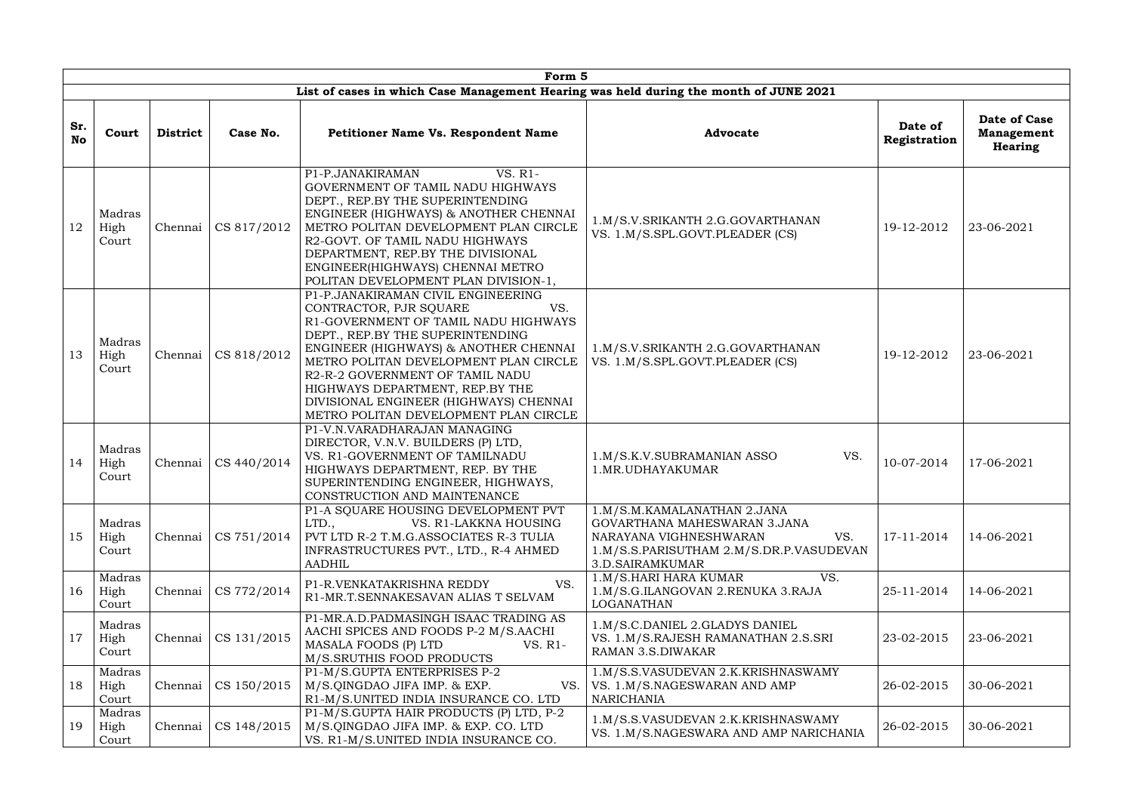|                  | Form 5                  |                 |             |                                                                                                                                                                                                                                                                                                                                                                                            |                                                                                                                                                            |                         |                                                     |  |  |  |  |  |
|------------------|-------------------------|-----------------|-------------|--------------------------------------------------------------------------------------------------------------------------------------------------------------------------------------------------------------------------------------------------------------------------------------------------------------------------------------------------------------------------------------------|------------------------------------------------------------------------------------------------------------------------------------------------------------|-------------------------|-----------------------------------------------------|--|--|--|--|--|
|                  |                         |                 |             | List of cases in which Case Management Hearing was held during the month of JUNE 2021                                                                                                                                                                                                                                                                                                      |                                                                                                                                                            |                         |                                                     |  |  |  |  |  |
| Sr.<br><b>No</b> | Court                   | <b>District</b> | Case No.    | <b>Petitioner Name Vs. Respondent Name</b>                                                                                                                                                                                                                                                                                                                                                 | <b>Advocate</b>                                                                                                                                            | Date of<br>Registration | <b>Date of Case</b><br><b>Management</b><br>Hearing |  |  |  |  |  |
| 12               | Madras<br>High<br>Court | Chennai         | CS 817/2012 | VS. R1-<br>P1-P.JANAKIRAMAN<br>GOVERNMENT OF TAMIL NADU HIGHWAYS<br>DEPT., REP.BY THE SUPERINTENDING<br>ENGINEER (HIGHWAYS) & ANOTHER CHENNAI<br>METRO POLITAN DEVELOPMENT PLAN CIRCLE<br>R2-GOVT. OF TAMIL NADU HIGHWAYS<br>DEPARTMENT, REP.BY THE DIVISIONAL<br>ENGINEER(HIGHWAYS) CHENNAI METRO<br>POLITAN DEVELOPMENT PLAN DIVISION-1,                                                 | 1.M/S.V.SRIKANTH 2.G.GOVARTHANAN<br>VS. 1.M/S.SPL.GOVT.PLEADER (CS)                                                                                        | 19-12-2012              | 23-06-2021                                          |  |  |  |  |  |
| 13               | Madras<br>High<br>Court | Chennai         | CS 818/2012 | P1-P.JANAKIRAMAN CIVIL ENGINEERING<br>VS.<br>CONTRACTOR, PJR SOUARE<br>R1-GOVERNMENT OF TAMIL NADU HIGHWAYS<br>DEPT., REP.BY THE SUPERINTENDING<br>ENGINEER (HIGHWAYS) & ANOTHER CHENNAI<br>METRO POLITAN DEVELOPMENT PLAN CIRCLE<br>R2-R-2 GOVERNMENT OF TAMIL NADU<br>HIGHWAYS DEPARTMENT, REP.BY THE<br>DIVISIONAL ENGINEER (HIGHWAYS) CHENNAI<br>METRO POLITAN DEVELOPMENT PLAN CIRCLE | 1.M/S.V.SRIKANTH 2.G.GOVARTHANAN<br>VS. 1.M/S.SPL.GOVT.PLEADER (CS)                                                                                        | 19-12-2012              | 23-06-2021                                          |  |  |  |  |  |
| 14               | Madras<br>High<br>Court | Chennai         | CS 440/2014 | P1-V.N.VARADHARAJAN MANAGING<br>DIRECTOR, V.N.V. BUILDERS (P) LTD,<br>VS. R1-GOVERNMENT OF TAMILNADU<br>HIGHWAYS DEPARTMENT, REP. BY THE<br>SUPERINTENDING ENGINEER, HIGHWAYS,<br>CONSTRUCTION AND MAINTENANCE                                                                                                                                                                             | 1.M/S.K.V.SUBRAMANIAN ASSO<br>VS.<br>1.MR.UDHAYAKUMAR                                                                                                      | 10-07-2014              | 17-06-2021                                          |  |  |  |  |  |
| 15               | Madras<br>High<br>Court | Chennai         | CS 751/2014 | P1-A SQUARE HOUSING DEVELOPMENT PVT<br>LTD.,<br>VS. R1-LAKKNA HOUSING<br>PVT LTD R-2 T.M.G.ASSOCIATES R-3 TULIA<br>INFRASTRUCTURES PVT., LTD., R-4 AHMED<br><b>AADHIL</b>                                                                                                                                                                                                                  | 1.M/S.M.KAMALANATHAN 2.JANA<br>GOVARTHANA MAHESWARAN 3.JANA<br>NARAYANA VIGHNESHWARAN<br>VS.<br>1.M/S.S.PARISUTHAM 2.M/S.DR.P.VASUDEVAN<br>3.D.SAIRAMKUMAR | 17-11-2014              | 14-06-2021                                          |  |  |  |  |  |
| 16               | Madras<br>High<br>Court | Chennai         | CS 772/2014 | P1-R.VENKATAKRISHNA REDDY<br>VS.<br>R1-MR.T.SENNAKESAVAN ALIAS T SELVAM                                                                                                                                                                                                                                                                                                                    | VS.<br>1.M/S.HARI HARA KUMAR<br>1.M/S.G.ILANGOVAN 2.RENUKA 3.RAJA<br><b>LOGANATHAN</b>                                                                     | 25-11-2014              | 14-06-2021                                          |  |  |  |  |  |
| 17               | Madras<br>High<br>Court | Chennai         | CS 131/2015 | P1-MR.A.D.PADMASINGH ISAAC TRADING AS<br>AACHI SPICES AND FOODS P-2 M/S.AACHI<br>MASALA FOODS (P) LTD<br>VS. R1-<br>M/S.SRUTHIS FOOD PRODUCTS                                                                                                                                                                                                                                              | 1.M/S.C.DANIEL 2.GLADYS DANIEL<br>VS. 1.M/S.RAJESH RAMANATHAN 2.S.SRI<br><b>RAMAN 3.S.DIWAKAR</b>                                                          | 23-02-2015              | 23-06-2021                                          |  |  |  |  |  |
| 18               | Madras<br>High<br>Court | Chennai         | CS 150/2015 | P1-M/S.GUPTA ENTERPRISES P-2<br>M/S.QINGDAO JIFA IMP. & EXP.<br>R1-M/S.UNITED INDIA INSURANCE CO. LTD                                                                                                                                                                                                                                                                                      | 1.M/S.S.VASUDEVAN 2.K.KRISHNASWAMY<br>VS.   VS. 1.M/S.NAGESWARAN AND AMP<br><b>NARICHANIA</b>                                                              | 26-02-2015              | 30-06-2021                                          |  |  |  |  |  |
| 19               | Madras<br>High<br>Court | Chennai         | CS 148/2015 | P1-M/S.GUPTA HAIR PRODUCTS (P) LTD, P-2<br>M/S.QINGDAO JIFA IMP. & EXP. CO. LTD<br>VS. R1-M/S.UNITED INDIA INSURANCE CO.                                                                                                                                                                                                                                                                   | 1.M/S.S.VASUDEVAN 2.K.KRISHNASWAMY<br>VS. 1.M/S.NAGESWARA AND AMP NARICHANIA                                                                               | 26-02-2015              | 30-06-2021                                          |  |  |  |  |  |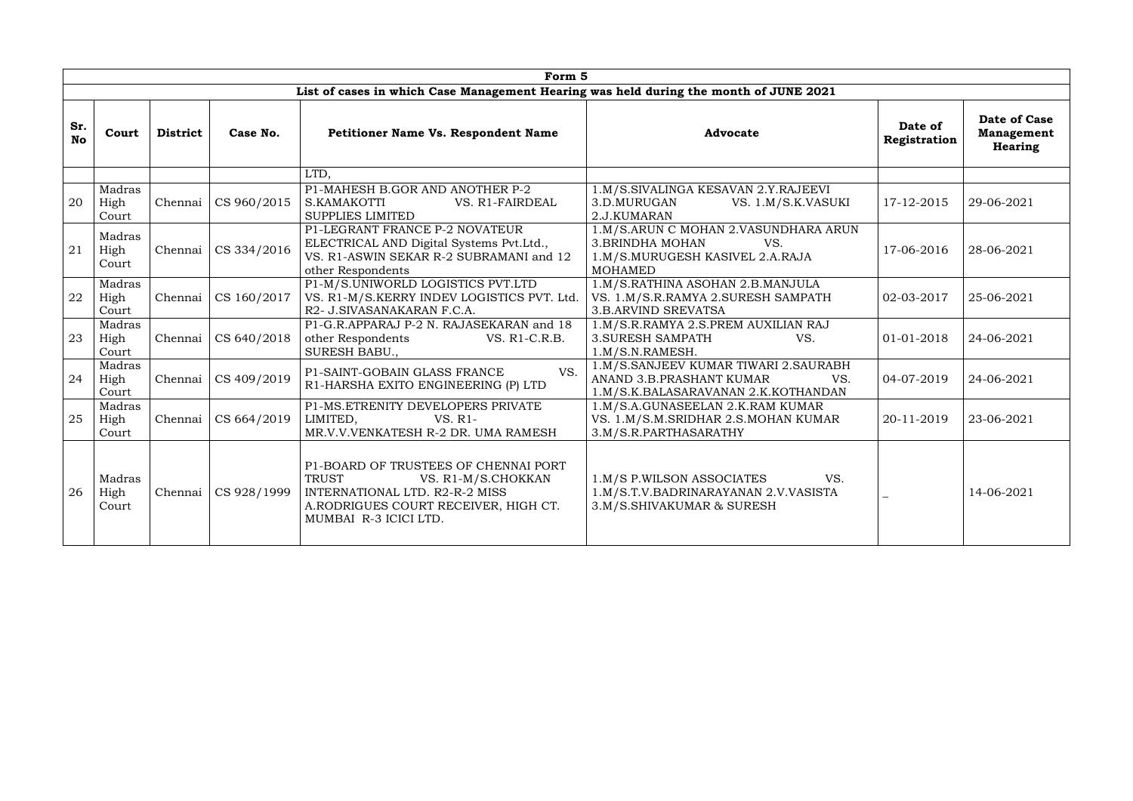|                  | Form 5                  |                 |             |                                                                                                                                                                               |                                                                                                                            |                         |                                                     |  |  |  |  |  |  |
|------------------|-------------------------|-----------------|-------------|-------------------------------------------------------------------------------------------------------------------------------------------------------------------------------|----------------------------------------------------------------------------------------------------------------------------|-------------------------|-----------------------------------------------------|--|--|--|--|--|--|
|                  |                         |                 |             | List of cases in which Case Management Hearing was held during the month of JUNE 2021                                                                                         |                                                                                                                            |                         |                                                     |  |  |  |  |  |  |
| Sr.<br><b>No</b> | Court                   | <b>District</b> | Case No.    | <b>Petitioner Name Vs. Respondent Name</b>                                                                                                                                    | <b>Advocate</b>                                                                                                            | Date of<br>Registration | <b>Date of Case</b><br><b>Management</b><br>Hearing |  |  |  |  |  |  |
|                  |                         |                 |             | LTD,                                                                                                                                                                          |                                                                                                                            |                         |                                                     |  |  |  |  |  |  |
| 20               | Madras<br>High<br>Court | Chennai         | CS 960/2015 | P1-MAHESH B.GOR AND ANOTHER P-2<br>S.KAMAKOTTI<br>VS. R1-FAIRDEAL<br><b>SUPPLIES LIMITED</b>                                                                                  | 1.M/S.SIVALINGA KESAVAN 2.Y.RAJEEVI<br>3.D.MURUGAN<br>VS. 1.M/S.K.VASUKI<br>2.J.KUMARAN                                    | 17-12-2015              | 29-06-2021                                          |  |  |  |  |  |  |
| 21               | Madras<br>High<br>Court | Chennai         | CS 334/2016 | P1-LEGRANT FRANCE P-2 NOVATEUR<br>ELECTRICAL AND Digital Systems Pvt.Ltd.,<br>VS. R1-ASWIN SEKAR R-2 SUBRAMANI and 12<br>other Respondents                                    | 1.M/S.ARUN C MOHAN 2.VASUNDHARA ARUN<br><b>3.BRINDHA MOHAN</b><br>VS.<br>1.M/S.MURUGESH KASIVEL 2.A.RAJA<br><b>MOHAMED</b> | 17-06-2016              | 28-06-2021                                          |  |  |  |  |  |  |
| 22               | Madras<br>High<br>Court | Chennai         | CS 160/2017 | P1-M/S.UNIWORLD LOGISTICS PVT.LTD<br>VS. R1-M/S.KERRY INDEV LOGISTICS PVT. Ltd.<br>R2- J.SIVASANAKARAN F.C.A.                                                                 | 1.M/S.RATHINA ASOHAN 2.B.MANJULA<br>VS. 1.M/S.R.RAMYA 2.SURESH SAMPATH<br><b>3.B.ARVIND SREVATSA</b>                       | 02-03-2017              | 25-06-2021                                          |  |  |  |  |  |  |
| 23               | Madras<br>High<br>Court | Chennai         | CS 640/2018 | P1-G.R.APPARAJ P-2 N. RAJASEKARAN and 18<br>other Respondents<br>VS. R1-C.R.B.<br>SURESH BABU.,                                                                               | 1.M/S.R.RAMYA 2.S.PREM AUXILIAN RAJ<br><b>3. SURESH SAMPATH</b><br>VS.<br>1.M/S.N.RAMESH.                                  | 01-01-2018              | 24-06-2021                                          |  |  |  |  |  |  |
| 24               | Madras<br>High<br>Court | Chennai         | CS 409/2019 | VS.<br>P1-SAINT-GOBAIN GLASS FRANCE<br>R1-HARSHA EXITO ENGINEERING (P) LTD                                                                                                    | 1.M/S.SANJEEV KUMAR TIWARI 2.SAURABH<br>ANAND 3.B.PRASHANT KUMAR<br>VS.<br>1.M/S.K.BALASARAVANAN 2.K.KOTHANDAN             | 04-07-2019              | 24-06-2021                                          |  |  |  |  |  |  |
| 25               | Madras<br>High<br>Court | Chennai         | CS 664/2019 | P1-MS.ETRENITY DEVELOPERS PRIVATE<br>LIMITED,<br>VS. R1-<br>MR.V.V.VENKATESH R-2 DR. UMA RAMESH                                                                               | 1.M/S.A.GUNASEELAN 2.K.RAM KUMAR<br>VS. 1.M/S.M.SRIDHAR 2.S.MOHAN KUMAR<br>3.M/S.R.PARTHASARATHY                           | 20-11-2019              | 23-06-2021                                          |  |  |  |  |  |  |
| 26               | Madras<br>High<br>Court | Chennai         | CS 928/1999 | P1-BOARD OF TRUSTEES OF CHENNAI PORT<br><b>TRUST</b><br>VS. R1-M/S.CHOKKAN<br>INTERNATIONAL LTD. R2-R-2 MISS<br>A.RODRIGUES COURT RECEIVER, HIGH CT.<br>MUMBAI R-3 ICICI LTD. | VS.<br>1.M/S P.WILSON ASSOCIATES<br>1.M/S.T.V.BADRINARAYANAN 2.V.VASISTA<br>3.M/S.SHIVAKUMAR & SURESH                      |                         | 14-06-2021                                          |  |  |  |  |  |  |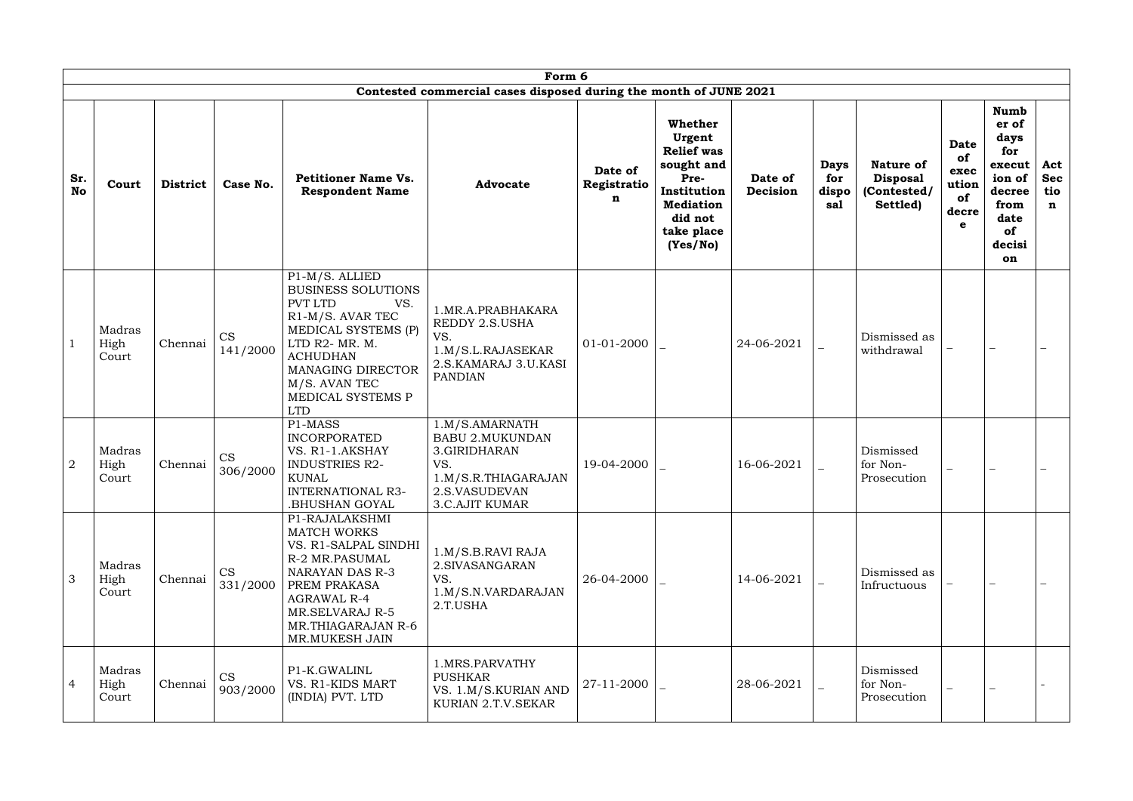|                  | Form 6<br>Contested commercial cases disposed during the month of JUNE 2021 |                 |                       |                                                                                                                                                                                                                        |                                                                                                                                  |                                       |                                                                                                                                      |                     |                                    |                                                                |                                                        |                                                                                                         |                                         |
|------------------|-----------------------------------------------------------------------------|-----------------|-----------------------|------------------------------------------------------------------------------------------------------------------------------------------------------------------------------------------------------------------------|----------------------------------------------------------------------------------------------------------------------------------|---------------------------------------|--------------------------------------------------------------------------------------------------------------------------------------|---------------------|------------------------------------|----------------------------------------------------------------|--------------------------------------------------------|---------------------------------------------------------------------------------------------------------|-----------------------------------------|
| Sr.<br><b>No</b> | Court                                                                       | <b>District</b> | Case No.              | <b>Petitioner Name Vs.</b><br><b>Respondent Name</b>                                                                                                                                                                   | <b>Advocate</b>                                                                                                                  | Date of<br>Registratio<br>$\mathbf n$ | Whether<br>Urgent<br><b>Relief was</b><br>sought and<br>Pre-<br>Institution<br><b>Mediation</b><br>did not<br>take place<br>(Yes/No) | Date of<br>Decision | <b>Days</b><br>for<br>dispo<br>sal | <b>Nature of</b><br><b>Disposal</b><br>(Contested/<br>Settled) | <b>Date</b><br>of<br>exec<br>ution<br>of<br>decre<br>e | <b>Numb</b><br>er of<br>days<br>for<br>execut<br>ion of<br>decree<br>from<br>date<br>of<br>decisi<br>on | Act<br><b>Sec</b><br>tio<br>$\mathbf n$ |
|                  | Madras<br>High<br>Court                                                     | Chennai         | <b>CS</b><br>141/2000 | P1-M/S. ALLIED<br><b>BUSINESS SOLUTIONS</b><br>PVT LTD<br>VS.<br>R1-M/S. AVAR TEC<br>MEDICAL SYSTEMS (P)<br>LTD R2- MR. M.<br><b>ACHUDHAN</b><br>MANAGING DIRECTOR<br>M/S. AVAN TEC<br>MEDICAL SYSTEMS P<br><b>LTD</b> | 1. MR.A. PRABHAKARA<br>REDDY 2.S.USHA<br>VS.<br>1.M/S.L.RAJASEKAR<br>2.S.KAMARAJ 3.U.KASI<br><b>PANDIAN</b>                      | 01-01-2000                            |                                                                                                                                      | 24-06-2021          |                                    | Dismissed as<br>withdrawal                                     |                                                        |                                                                                                         |                                         |
| $\overline{2}$   | Madras<br>High<br>Court                                                     | Chennai         | CS<br>306/2000        | P1-MASS<br><b>INCORPORATED</b><br>VS. R1-1.AKSHAY<br><b>INDUSTRIES R2-</b><br><b>KUNAL</b><br>INTERNATIONAL R3-<br>BHUSHAN GOYAL.                                                                                      | 1.M/S.AMARNATH<br><b>BABU 2.MUKUNDAN</b><br>3.GIRIDHARAN<br>VS.<br>1.M/S.R.THIAGARAJAN<br>2.S.VASUDEVAN<br><b>3.C.AJIT KUMAR</b> | 19-04-2000                            |                                                                                                                                      | 16-06-2021          |                                    | Dismissed<br>for Non-<br>Prosecution                           |                                                        |                                                                                                         |                                         |
| 3                | Madras<br>High<br>Court                                                     | Chennai         | <b>CS</b><br>331/2000 | P1-RAJALAKSHMI<br><b>MATCH WORKS</b><br>VS. R1-SALPAL SINDHI<br>R-2 MR.PASUMAL<br>NARAYAN DAS R-3<br>PREM PRAKASA<br><b>AGRAWAL R-4</b><br><b>MR.SELVARAJ R-5</b><br>MR.THIAGARAJAN R-6<br>MR.MUKESH JAIN              | 1.M/S.B.RAVI RAJA<br>2. SIVASANGARAN<br>VS.<br>1.M/S.N.VARDARAJAN<br>2.T.USHA                                                    | 26-04-2000                            |                                                                                                                                      | 14-06-2021          |                                    | Dismissed as<br>Infructuous                                    |                                                        |                                                                                                         |                                         |
| $\overline{4}$   | Madras<br>High<br>Court                                                     | Chennai         | <b>CS</b><br>903/2000 | P1-K.GWALINL<br>VS. R1-KIDS MART<br>(INDIA) PVT. LTD                                                                                                                                                                   | 1.MRS.PARVATHY<br><b>PUSHKAR</b><br>VS. 1.M/S.KURIAN AND<br>KURIAN 2.T.V.SEKAR                                                   | 27-11-2000                            |                                                                                                                                      | 28-06-2021          |                                    | Dismissed<br>for Non-<br>Prosecution                           | $\overline{\phantom{0}}$                               |                                                                                                         |                                         |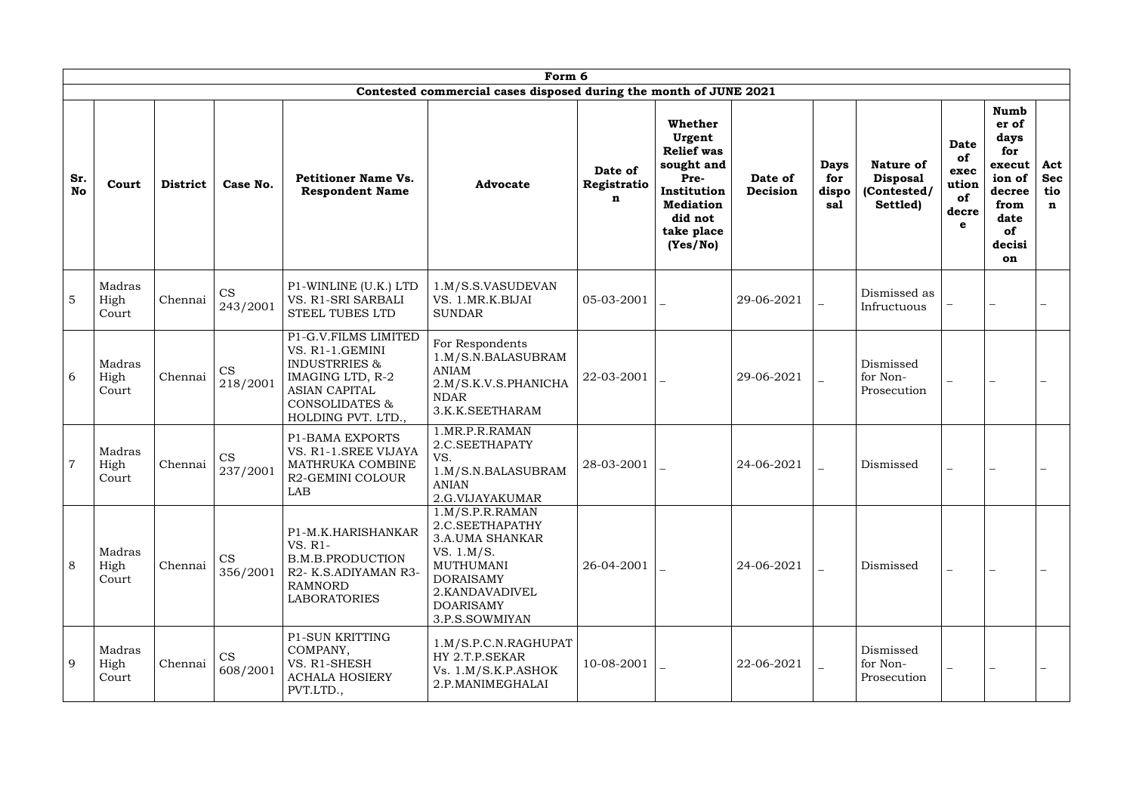|                  | Form 6                  |                 |                       |                                                                                                                                                         |                                                                                                                                                                            |                             |                                                                                                                                      |                     |                                    |                                                                |                                                                  |                                                                                                         |                                         |
|------------------|-------------------------|-----------------|-----------------------|---------------------------------------------------------------------------------------------------------------------------------------------------------|----------------------------------------------------------------------------------------------------------------------------------------------------------------------------|-----------------------------|--------------------------------------------------------------------------------------------------------------------------------------|---------------------|------------------------------------|----------------------------------------------------------------|------------------------------------------------------------------|---------------------------------------------------------------------------------------------------------|-----------------------------------------|
|                  |                         |                 |                       |                                                                                                                                                         | Contested commercial cases disposed during the month of JUNE 2021                                                                                                          |                             |                                                                                                                                      |                     |                                    |                                                                |                                                                  |                                                                                                         |                                         |
| Sr.<br><b>No</b> | Court                   | <b>District</b> | Case No.              | <b>Petitioner Name Vs.</b><br><b>Respondent Name</b>                                                                                                    | <b>Advocate</b>                                                                                                                                                            | Date of<br>Registratio<br>n | Whether<br>Urgent<br><b>Relief was</b><br>sought and<br>Pre-<br>Institution<br><b>Mediation</b><br>did not<br>take place<br>(Yes/No) | Date of<br>Decision | <b>Days</b><br>for<br>dispo<br>sal | <b>Nature of</b><br><b>Disposal</b><br>(Contested/<br>Settled) | <b>Date</b><br>of<br>exec<br>ution<br>of<br>decre<br>$\mathbf e$ | <b>Numb</b><br>er of<br>days<br>for<br>execut<br>ion of<br>decree<br>from<br>date<br>of<br>decisi<br>on | Act<br><b>Sec</b><br>tio<br>$\mathbf n$ |
| $\overline{5}$   | Madras<br>High<br>Court | Chennai         | <b>CS</b><br>243/2001 | P1-WINLINE (U.K.) LTD<br>VS. R1-SRI SARBALI<br>STEEL TUBES LTD                                                                                          | 1.M/S.S.VASUDEVAN<br>VS. 1.MR.K.BIJAI<br><b>SUNDAR</b>                                                                                                                     | 05-03-2001                  |                                                                                                                                      | 29-06-2021          |                                    | Dismissed as<br>Infructuous                                    |                                                                  |                                                                                                         |                                         |
| 6                | Madras<br>High<br>Court | Chennai         | <b>CS</b><br>218/2001 | P1-G.V.FILMS LIMITED<br>VS. R1-1.GEMINI<br><b>INDUSTRRIES &amp;</b><br>IMAGING LTD, R-2<br><b>ASIAN CAPITAL</b><br>CONSOLIDATES &<br>HOLDING PVT. LTD., | For Respondents<br>1.M/S.N.BALASUBRAM<br><b>ANIAM</b><br>2.M/S.K.V.S.PHANICHA<br><b>NDAR</b><br>3.K.K.SEETHARAM                                                            | 22-03-2001                  |                                                                                                                                      | 29-06-2021          |                                    | Dismissed<br>for Non-<br>Prosecution                           | $\overline{\phantom{0}}$                                         |                                                                                                         |                                         |
| $\overline{7}$   | Madras<br>High<br>Court | Chennai         | CS<br>237/2001        | <b>P1-BAMA EXPORTS</b><br>VS. R1-1.SREE VIJAYA<br>MATHRUKA COMBINE<br>R2-GEMINI COLOUR<br>LAB                                                           | 1.MR.P.R.RAMAN<br>2.C.SEETHAPATY<br>VS.<br>1.M/S.N.BALASUBRAM<br><b>ANIAN</b><br>2.G.VIJAYAKUMAR                                                                           | 28-03-2001                  |                                                                                                                                      | 24-06-2021          |                                    | Dismissed                                                      | $\equiv$                                                         |                                                                                                         |                                         |
| 8                | Madras<br>High<br>Court | Chennai         | <b>CS</b><br>356/2001 | P1-M.K.HARISHANKAR<br>VS. R1-<br><b>B.M.B.PRODUCTION</b><br>R2- K.S.ADIYAMAN R3-<br><b>RAMNORD</b><br><b>LABORATORIES</b>                               | 1.M/S.P.R.RAMAN<br>2.C.SEETHAPATHY<br><b>3.A.UMA SHANKAR</b><br>VS. 1.M/S.<br><b>MUTHUMANI</b><br><b>DORAISAMY</b><br>2.KANDAVADIVEL<br><b>DOARISAMY</b><br>3.P.S.SOWMIYAN | 26-04-2001                  |                                                                                                                                      | 24-06-2021          |                                    | Dismissed                                                      | $\equiv$                                                         |                                                                                                         |                                         |
| 9                | Madras<br>High<br>Court | Chennai         | <b>CS</b><br>608/2001 | P1-SUN KRITTING<br>COMPANY,<br>VS. R1-SHESH<br><b>ACHALA HOSIERY</b><br>PVT.LTD.,                                                                       | 1.M/S.P.C.N.RAGHUPAT<br>HY 2.T.P.SEKAR<br>Vs. 1.M/S.K.P.ASHOK<br>2.P.MANIMEGHALAI                                                                                          | 10-08-2001                  |                                                                                                                                      | 22-06-2021          |                                    | Dismissed<br>for Non-<br>Prosecution                           | $\equiv$                                                         |                                                                                                         |                                         |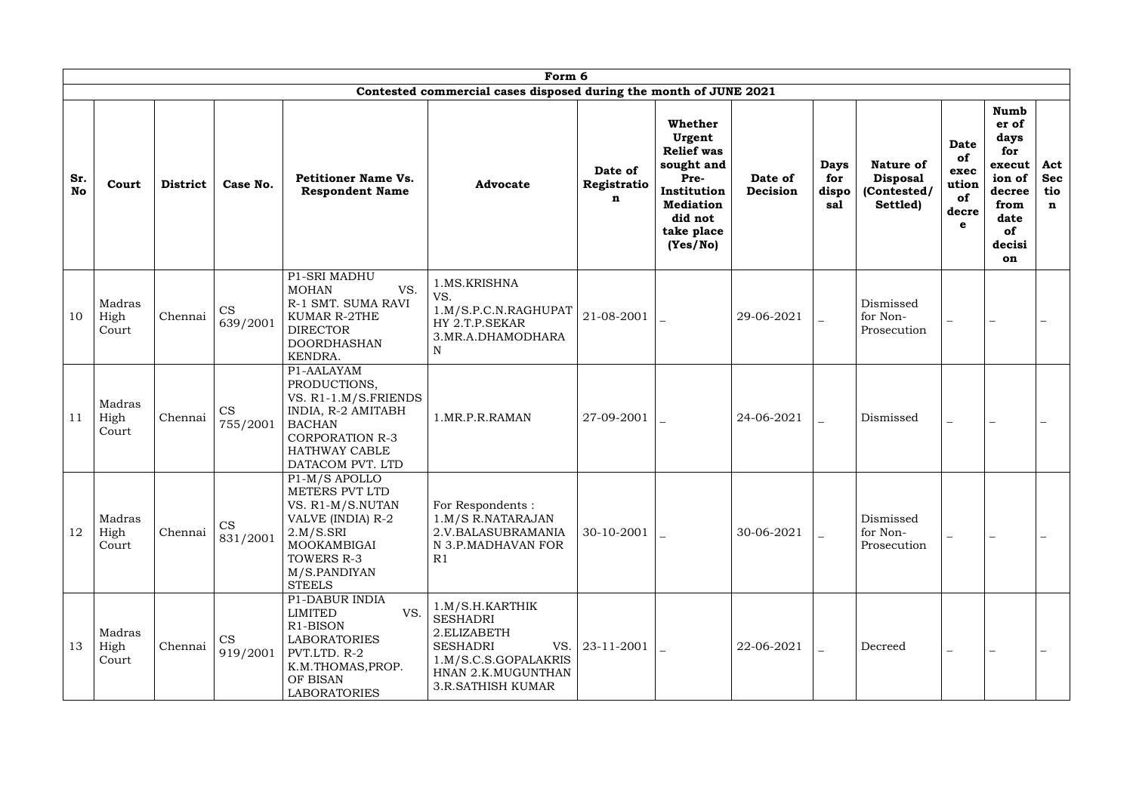|                  | Form 6<br>Contested commercial cases disposed during the month of JUNE 2021 |                 |                       |                                                                                                                                                                 |                                                                                                                                                       |                                       |                                                                                                                                             |                     |                                    |                                                                |                                                        |                                                                                                         |                                         |
|------------------|-----------------------------------------------------------------------------|-----------------|-----------------------|-----------------------------------------------------------------------------------------------------------------------------------------------------------------|-------------------------------------------------------------------------------------------------------------------------------------------------------|---------------------------------------|---------------------------------------------------------------------------------------------------------------------------------------------|---------------------|------------------------------------|----------------------------------------------------------------|--------------------------------------------------------|---------------------------------------------------------------------------------------------------------|-----------------------------------------|
| Sr.<br><b>No</b> | Court                                                                       | <b>District</b> | Case No.              | <b>Petitioner Name Vs.</b><br><b>Respondent Name</b>                                                                                                            | <b>Advocate</b>                                                                                                                                       | Date of<br>Registratio<br>$\mathbf n$ | <b>Whether</b><br>Urgent<br><b>Relief</b> was<br>sought and<br>Pre-<br>Institution<br><b>Mediation</b><br>did not<br>take place<br>(Yes/No) | Date of<br>Decision | <b>Days</b><br>for<br>dispo<br>sal | <b>Nature of</b><br><b>Disposal</b><br>(Contested/<br>Settled) | <b>Date</b><br>of<br>exec<br>ution<br>of<br>decre<br>e | <b>Numb</b><br>er of<br>days<br>for<br>execut<br>ion of<br>decree<br>from<br>date<br>of<br>decisi<br>on | Act<br><b>Sec</b><br>tio<br>$\mathbf n$ |
| 10               | Madras<br>High<br>Court                                                     | Chennai         | <b>CS</b><br>639/2001 | P1-SRI MADHU<br>VS.<br><b>MOHAN</b><br>R-1 SMT. SUMA RAVI<br><b>KUMAR R-2THE</b><br><b>DIRECTOR</b><br><b>DOORDHASHAN</b><br>KENDRA.                            | 1.MS.KRISHNA<br>VS.<br>1.M/S.P.C.N.RAGHUPAT<br>HY 2.T.P.SEKAR<br>3.MR.A.DHAMODHARA<br>N                                                               | 21-08-2001                            |                                                                                                                                             | 29-06-2021          |                                    | Dismissed<br>for Non-<br>Prosecution                           | $\overline{\phantom{0}}$                               |                                                                                                         |                                         |
| 11               | Madras<br>High<br>Court                                                     | Chennai         | <b>CS</b><br>755/2001 | P1-AALAYAM<br>PRODUCTIONS,<br>VS. R1-1.M/S.FRIENDS<br>INDIA, R-2 AMITABH<br><b>BACHAN</b><br><b>CORPORATION R-3</b><br><b>HATHWAY CABLE</b><br>DATACOM PVT. LTD | 1.MR.P.R.RAMAN                                                                                                                                        | 27-09-2001                            |                                                                                                                                             | 24-06-2021          |                                    | Dismissed                                                      | $\overline{\phantom{0}}$                               |                                                                                                         |                                         |
| 12               | Madras<br>High<br>Court                                                     | Chennai         | <b>CS</b><br>831/2001 | P1-M/S APOLLO<br>METERS PVT LTD<br>VS. R1-M/S.NUTAN<br>VALVE (INDIA) R-2<br>2.M/S.SRI<br>MOOKAMBIGAI<br>TOWERS R-3<br>M/S.PANDIYAN<br><b>STEELS</b>             | For Respondents :<br>1.M/S R.NATARAJAN<br>2.V.BALASUBRAMANIA<br>N 3.P.MADHAVAN FOR<br>R1                                                              | 30-10-2001                            |                                                                                                                                             | 30-06-2021          |                                    | Dismissed<br>for Non-<br>Prosecution                           | $\overline{\phantom{0}}$                               |                                                                                                         |                                         |
| 13               | Madras<br>High<br>Court                                                     | Chennai         | <b>CS</b><br>919/2001 | P1-DABUR INDIA<br>VS.<br><b>LIMITED</b><br>R1-BISON<br><b>LABORATORIES</b><br>PVT.LTD. R-2<br>K.M.THOMAS, PROP.<br>OF BISAN<br><b>LABORATORIES</b>              | 1.M/S.H.KARTHIK<br><b>SESHADRI</b><br>2.ELIZABETH<br><b>SESHADRI</b><br>VS.<br>1.M/S.C.S.GOPALAKRIS<br>HNAN 2.K.MUGUNTHAN<br><b>3.R.SATHISH KUMAR</b> | 23-11-2001                            |                                                                                                                                             | 22-06-2021          |                                    | Decreed                                                        | $\equiv$                                               |                                                                                                         |                                         |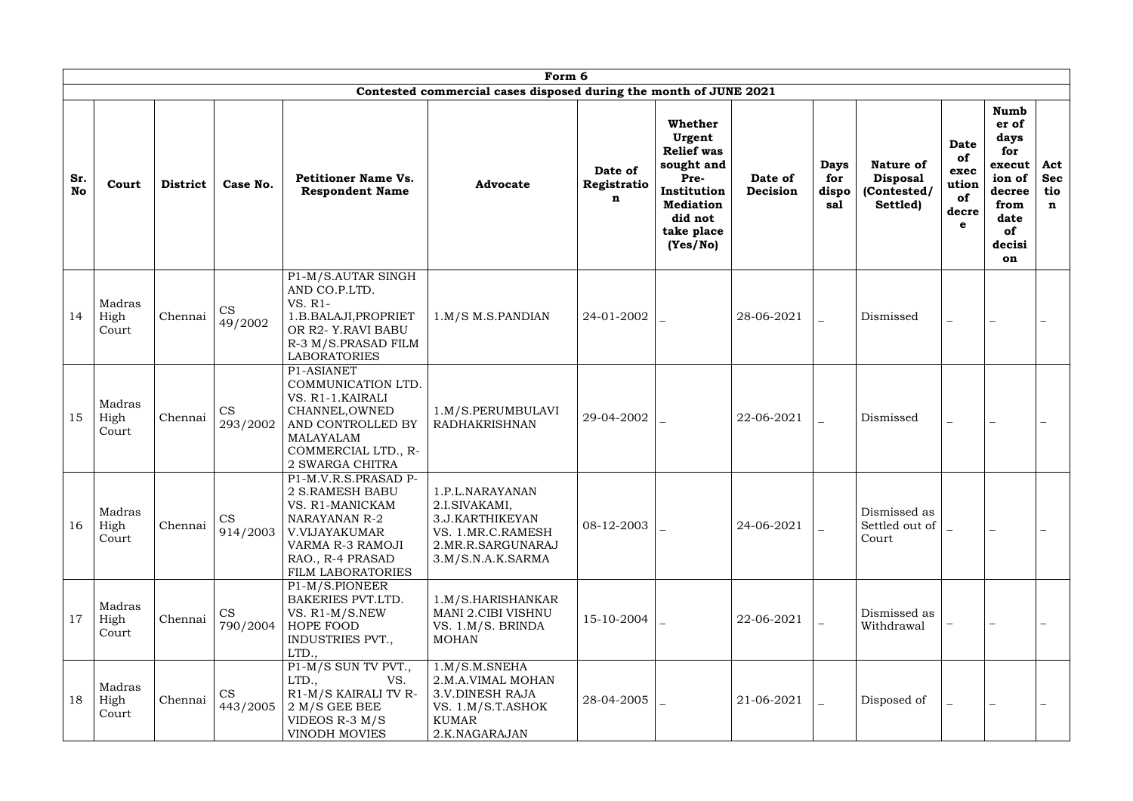|                  | Form 6                  |                 |                       |                                                                                                                                                                  |                                                                                                                    |                             |                                                                                                                                      |                     |                                    |                                                                |                                                        |                                                                                                         |                                         |
|------------------|-------------------------|-----------------|-----------------------|------------------------------------------------------------------------------------------------------------------------------------------------------------------|--------------------------------------------------------------------------------------------------------------------|-----------------------------|--------------------------------------------------------------------------------------------------------------------------------------|---------------------|------------------------------------|----------------------------------------------------------------|--------------------------------------------------------|---------------------------------------------------------------------------------------------------------|-----------------------------------------|
| Sr.<br><b>No</b> | Court                   | <b>District</b> | Case No.              | <b>Petitioner Name Vs.</b><br><b>Respondent Name</b>                                                                                                             | Contested commercial cases disposed during the month of JUNE 2021<br><b>Advocate</b>                               | Date of<br>Registratio<br>n | Whether<br>Urgent<br><b>Relief</b> was<br>sought and<br>Pre-<br>Institution<br><b>Mediation</b><br>did not<br>take place<br>(Yes/No) | Date of<br>Decision | <b>Days</b><br>for<br>dispo<br>sal | <b>Nature of</b><br><b>Disposal</b><br>(Contested/<br>Settled) | <b>Date</b><br>of<br>exec<br>ution<br>of<br>decre<br>e | <b>Numb</b><br>er of<br>days<br>for<br>execut<br>ion of<br>decree<br>from<br>date<br>of<br>decisi<br>on | Act<br><b>Sec</b><br>tio<br>$\mathbf n$ |
| 14               | Madras<br>High<br>Court | Chennai         | <b>CS</b><br>49/2002  | P1-M/S.AUTAR SINGH<br>AND CO.P.LTD.<br>VS. R1-<br>1.B.BALAJI, PROPRIET<br>OR R2-Y.RAVI BABU<br>R-3 M/S.PRASAD FILM<br><b>LABORATORIES</b>                        | $1.M/S$ M.S.PANDIAN                                                                                                | 24-01-2002                  |                                                                                                                                      | 28-06-2021          |                                    | Dismissed                                                      | $\overline{\phantom{0}}$                               |                                                                                                         |                                         |
| 15               | Madras<br>High<br>Court | Chennai         | <b>CS</b><br>293/2002 | P1-ASIANET<br>COMMUNICATION LTD.<br>VS. R1-1. KAIRALI<br>CHANNEL, OWNED<br>AND CONTROLLED BY<br>MALAYALAM<br>COMMERCIAL LTD., R-<br>2 SWARGA CHITRA              | 1.M/S.PERUMBULAVI<br><b>RADHAKRISHNAN</b>                                                                          | 29-04-2002                  |                                                                                                                                      | 22-06-2021          |                                    | Dismissed                                                      | $\overline{\phantom{0}}$                               |                                                                                                         |                                         |
| 16               | Madras<br>High<br>Court | Chennai         | <b>CS</b><br>914/2003 | P1-M.V.R.S.PRASAD P-<br><b>2 S.RAMESH BABU</b><br>VS. R1-MANICKAM<br>NARAYANAN R-2<br>V.VIJAYAKUMAR<br>VARMA R-3 RAMOJI<br>RAO., R-4 PRASAD<br>FILM LABORATORIES | 1.P.L.NARAYANAN<br>2.I.SIVAKAMI,<br>3.J.KARTHIKEYAN<br>VS. 1.MR.C.RAMESH<br>2.MR.R.SARGUNARAJ<br>3.M/S.N.A.K.SARMA | 08-12-2003                  |                                                                                                                                      | 24-06-2021          |                                    | Dismissed as<br>Settled out of<br>Court                        |                                                        |                                                                                                         |                                         |
| 17               | Madras<br>High<br>Court | Chennai         | <b>CS</b><br>790/2004 | P1-M/S.PIONEER<br>BAKERIES PVT.LTD.<br>VS. R1-M/S.NEW<br>HOPE FOOD<br>INDUSTRIES PVT.,<br>LTD.,                                                                  | 1.M/S.HARISHANKAR<br>MANI 2.CIBI VISHNU<br>VS. 1.M/S. BRINDA<br>MOHAN                                              | 15-10-2004                  |                                                                                                                                      | 22-06-2021          |                                    | Dismissed as<br>Withdrawal                                     |                                                        |                                                                                                         |                                         |
| 18               | Madras<br>High<br>Court | Chennai         | <b>CS</b><br>443/2005 | P1-M/S SUN TV PVT.,<br>LTD.,<br>VS.<br>R1-M/S KAIRALI TV R-<br>$2 M/S$ GEE BEE<br>VIDEOS R-3 $M/S$<br>VINODH MOVIES                                              | 1.M/S.M.SNEHA<br>2.M.A.VIMAL MOHAN<br><b>3.V.DINESH RAJA</b><br>VS. 1.M/S.T.ASHOK<br>KUMAR<br>2.K.NAGARAJAN        | 28-04-2005                  |                                                                                                                                      | 21-06-2021          |                                    | Disposed of                                                    |                                                        |                                                                                                         |                                         |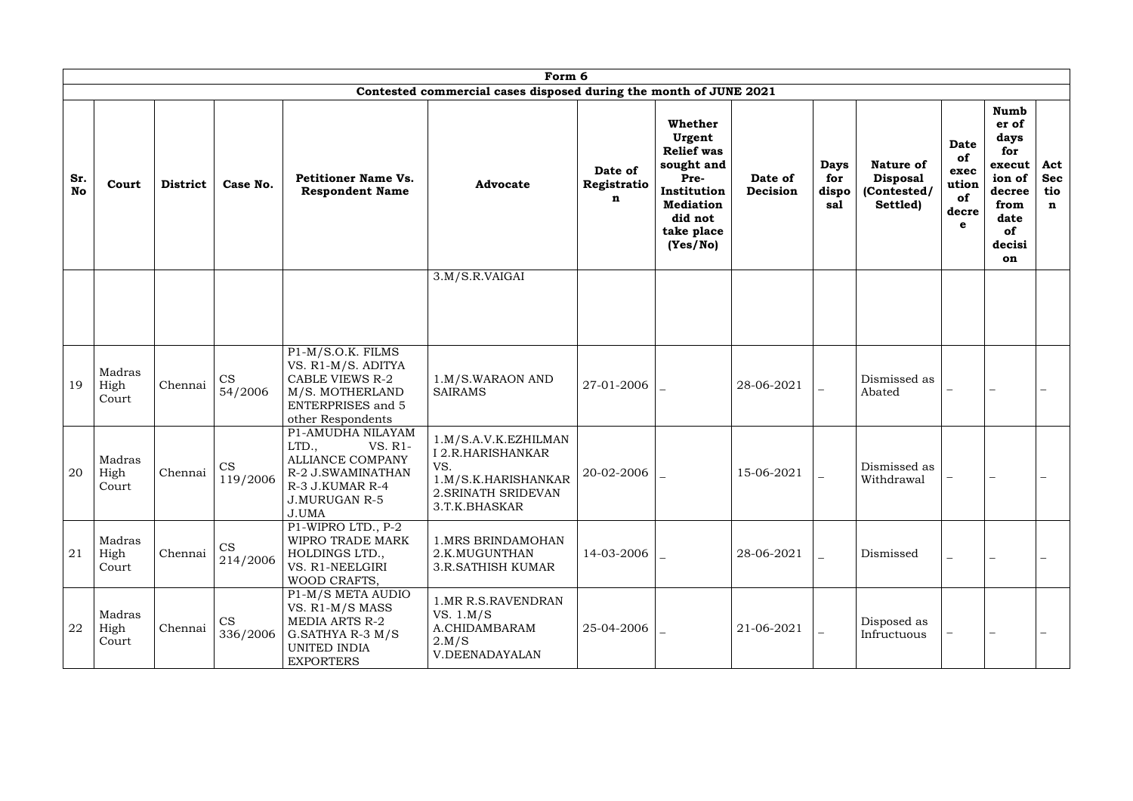|                  |                         |                 |                       |                                                                                                                                         | Form 6                                                                                                          |                             |                                                                                                                                             |                     |                                    |                                                                |                                                        |                                                                                                         |                                         |
|------------------|-------------------------|-----------------|-----------------------|-----------------------------------------------------------------------------------------------------------------------------------------|-----------------------------------------------------------------------------------------------------------------|-----------------------------|---------------------------------------------------------------------------------------------------------------------------------------------|---------------------|------------------------------------|----------------------------------------------------------------|--------------------------------------------------------|---------------------------------------------------------------------------------------------------------|-----------------------------------------|
| Sr.<br><b>No</b> | Court                   | <b>District</b> | Case No.              | <b>Petitioner Name Vs.</b><br><b>Respondent Name</b>                                                                                    | Contested commercial cases disposed during the month of JUNE 2021<br><b>Advocate</b>                            | Date of<br>Registratio<br>n | <b>Whether</b><br>Urgent<br><b>Relief was</b><br>sought and<br>Pre-<br>Institution<br><b>Mediation</b><br>did not<br>take place<br>(Yes/No) | Date of<br>Decision | <b>Days</b><br>for<br>dispo<br>sal | <b>Nature of</b><br><b>Disposal</b><br>(Contested/<br>Settled) | <b>Date</b><br>of<br>exec<br>ution<br>of<br>decre<br>e | <b>Numb</b><br>er of<br>days<br>for<br>execut<br>ion of<br>decree<br>from<br>date<br>of<br>decisi<br>on | Act<br><b>Sec</b><br>tio<br>$\mathbf n$ |
|                  |                         |                 |                       |                                                                                                                                         | 3.M/S.R.VAIGAI                                                                                                  |                             |                                                                                                                                             |                     |                                    |                                                                |                                                        |                                                                                                         |                                         |
| 19               | Madras<br>High<br>Court | Chennai         | CS<br>54/2006         | $P1-M/S.O.K.$ FILMS<br>VS. R1-M/S. ADITYA<br><b>CABLE VIEWS R-2</b><br>M/S. MOTHERLAND<br><b>ENTERPRISES</b> and 5<br>other Respondents | 1.M/S.WARAON AND<br><b>SAIRAMS</b>                                                                              | 27-01-2006                  |                                                                                                                                             | 28-06-2021          |                                    | Dismissed as<br>Abated                                         |                                                        |                                                                                                         |                                         |
| 20               | Madras<br>High<br>Court | Chennai         | <b>CS</b><br>119/2006 | P1-AMUDHA NILAYAM<br>LTD.,<br>VS. R1-<br>ALLIANCE COMPANY<br>R-2 J.SWAMINATHAN<br>R-3 J.KUMAR R-4<br><b>J.MURUGAN R-5</b><br>J.UMA      | 1.M/S.A.V.K.EZHILMAN<br>I 2.R.HARISHANKAR<br>VS.<br>1.M/S.K.HARISHANKAR<br>2. SRINATH SRIDEVAN<br>3.T.K.BHASKAR | 20-02-2006                  |                                                                                                                                             | 15-06-2021          |                                    | Dismissed as<br>Withdrawal                                     |                                                        |                                                                                                         |                                         |
| 21               | Madras<br>High<br>Court | Chennai         | <b>CS</b><br>214/2006 | P1-WIPRO LTD., P-2<br>WIPRO TRADE MARK<br>HOLDINGS LTD.,<br>VS. R1-NEELGIRI<br>WOOD CRAFTS,                                             | <b>1.MRS BRINDAMOHAN</b><br>2.K.MUGUNTHAN<br><b>3.R.SATHISH KUMAR</b>                                           | 14-03-2006                  |                                                                                                                                             | 28-06-2021          |                                    | Dismissed                                                      | $\overline{\phantom{0}}$                               |                                                                                                         |                                         |
| 22               | Madras<br>High<br>Court | Chennai         | <b>CS</b><br>336/2006 | P1-M/S META AUDIO<br>VS. R1-M/S MASS<br><b>MEDIA ARTS R-2</b><br>G.SATHYA R-3 $M/S$<br>UNITED INDIA<br><b>EXPORTERS</b>                 | 1. MR R.S. RAVENDRAN<br>VS. $1.M/S$<br>A.CHIDAMBARAM<br>2.M/S<br>V.DEENADAYALAN                                 | 25-04-2006                  |                                                                                                                                             | 21-06-2021          |                                    | Disposed as<br>Infructuous                                     |                                                        |                                                                                                         |                                         |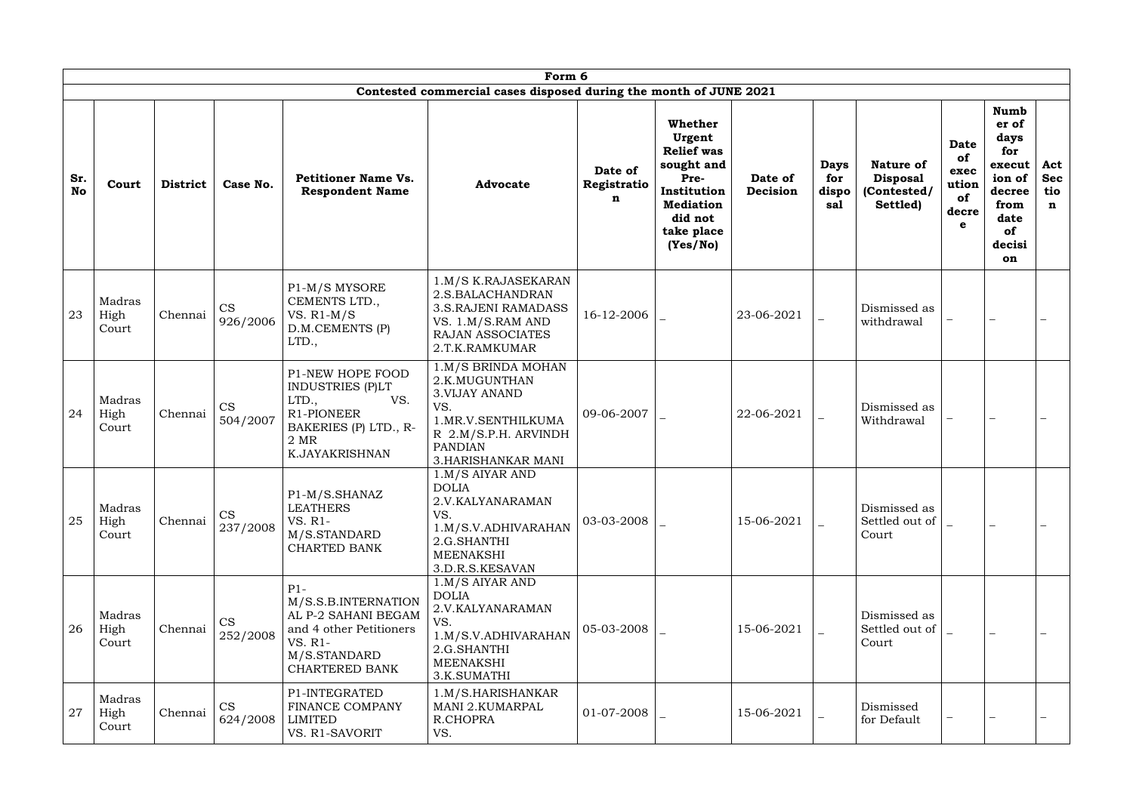|                  |                         |                 |                       |                                                                                                                              | Form 6<br>Contested commercial cases disposed during the month of JUNE 2021                                                                                      |                             |                                                                                                                                      |                     |                                    |                                                                |                                                                  |                                                                                                         |                                         |
|------------------|-------------------------|-----------------|-----------------------|------------------------------------------------------------------------------------------------------------------------------|------------------------------------------------------------------------------------------------------------------------------------------------------------------|-----------------------------|--------------------------------------------------------------------------------------------------------------------------------------|---------------------|------------------------------------|----------------------------------------------------------------|------------------------------------------------------------------|---------------------------------------------------------------------------------------------------------|-----------------------------------------|
| Sr.<br><b>No</b> | Court                   | <b>District</b> | Case No.              | <b>Petitioner Name Vs.</b><br><b>Respondent Name</b>                                                                         | <b>Advocate</b>                                                                                                                                                  | Date of<br>Registratio<br>n | Whether<br>Urgent<br><b>Relief</b> was<br>sought and<br>Pre-<br>Institution<br><b>Mediation</b><br>did not<br>take place<br>(Yes/No) | Date of<br>Decision | <b>Days</b><br>for<br>dispo<br>sal | <b>Nature of</b><br><b>Disposal</b><br>(Contested/<br>Settled) | <b>Date</b><br>of<br>exec<br>ution<br>of<br>decre<br>$\mathbf e$ | <b>Numb</b><br>er of<br>days<br>for<br>execut<br>ion of<br>decree<br>from<br>date<br>of<br>decisi<br>on | Act<br><b>Sec</b><br>tio<br>$\mathbf n$ |
| 23               | Madras<br>High<br>Court | Chennai         | CS<br>926/2006        | P1-M/S MYSORE<br>CEMENTS LTD.,<br>VS. $R1-M/S$<br>D.M.CEMENTS (P)<br>LTD.,                                                   | 1.M/S K.RAJASEKARAN<br>2.S.BALACHANDRAN<br><b>3.S.RAJENI RAMADASS</b><br>VS. 1.M/S.RAM AND<br>RAJAN ASSOCIATES<br>2.T.K.RAMKUMAR                                 | 16-12-2006                  |                                                                                                                                      | 23-06-2021          |                                    | Dismissed as<br>withdrawal                                     |                                                                  |                                                                                                         |                                         |
| 24               | Madras<br>High<br>Court | Chennai         | <b>CS</b><br>504/2007 | P1-NEW HOPE FOOD<br><b>INDUSTRIES (P)LT</b><br>LTD.,<br>VS.<br>R1-PIONEER<br>BAKERIES (P) LTD., R-<br>2 MR<br>K.JAYAKRISHNAN | 1.M/S BRINDA MOHAN<br>2.K.MUGUNTHAN<br><b>3. VIJAY ANAND</b><br>VS.<br>1.MR.V.SENTHILKUMA<br>R 2.M/S.P.H. ARVINDH<br><b>PANDIAN</b><br><b>3.HARISHANKAR MANI</b> | 09-06-2007                  |                                                                                                                                      | 22-06-2021          |                                    | Dismissed as<br>Withdrawal                                     |                                                                  |                                                                                                         |                                         |
| 25               | Madras<br>High<br>Court | Chennai         | CS<br>237/2008        | P1-M/S.SHANAZ<br><b>LEATHERS</b><br>VS. R1-<br>M/S.STANDARD<br><b>CHARTED BANK</b>                                           | $1.M/S$ AIYAR AND<br><b>DOLIA</b><br>2.V.KALYANARAMAN<br>VS.<br>1.M/S.V.ADHIVARAHAN<br>2.G.SHANTHI<br><b>MEENAKSHI</b><br>3.D.R.S.KESAVAN                        | 03-03-2008                  |                                                                                                                                      | 15-06-2021          |                                    | Dismissed as<br>Settled out of<br>Court                        |                                                                  |                                                                                                         |                                         |
| 26               | Madras<br>High<br>Court | Chennai         | <b>CS</b><br>252/2008 | $P1-$<br>M/S.S.B. INTERNATION<br>AL P-2 SAHANI BEGAM<br>and 4 other Petitioners<br>VS. R1-<br>M/S.STANDARD<br>CHARTERED BANK | $1.M/S$ AIYAR AND<br><b>DOLIA</b><br>2.V.KALYANARAMAN<br>VS.<br>1.M/S.V.ADHIVARAHAN<br>2.G.SHANTHI<br><b>MEENAKSHI</b><br>3.K.SUMATHI                            | 05-03-2008                  |                                                                                                                                      | 15-06-2021          |                                    | Dismissed as<br>Settled out of<br>Court                        |                                                                  |                                                                                                         |                                         |
| 27               | Madras<br>High<br>Court | Chennai         | <b>CS</b><br>624/2008 | P1-INTEGRATED<br>FINANCE COMPANY<br><b>LIMITED</b><br>VS. R1-SAVORIT                                                         | 1.M/S.HARISHANKAR<br><b>MANI 2.KUMARPAL</b><br>R.CHOPRA<br>VS.                                                                                                   | 01-07-2008                  |                                                                                                                                      | 15-06-2021          |                                    | Dismissed<br>for Default                                       |                                                                  |                                                                                                         |                                         |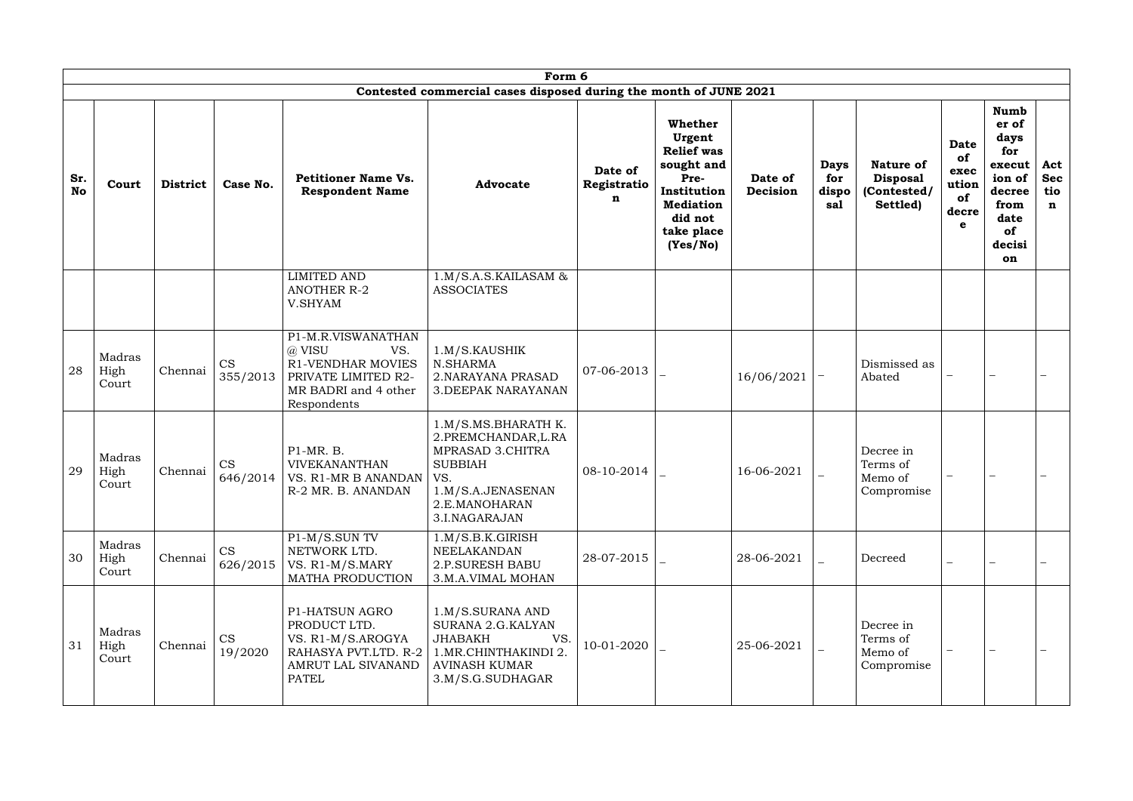|                  | Form 6<br>Contested commercial cases disposed during the month of JUNE 2021 |                 |                       |                                                                                                                        |                                                                                                                                                |                             |                                                                                                                                      |                     |                                    |                                                                |                                                        |                                                                                                         |  |
|------------------|-----------------------------------------------------------------------------|-----------------|-----------------------|------------------------------------------------------------------------------------------------------------------------|------------------------------------------------------------------------------------------------------------------------------------------------|-----------------------------|--------------------------------------------------------------------------------------------------------------------------------------|---------------------|------------------------------------|----------------------------------------------------------------|--------------------------------------------------------|---------------------------------------------------------------------------------------------------------|--|
| Sr.<br><b>No</b> | Court                                                                       | <b>District</b> | Case No.              | <b>Petitioner Name Vs.</b><br><b>Respondent Name</b>                                                                   | <b>Advocate</b>                                                                                                                                | Date of<br>Registratio<br>n | Whether<br>Urgent<br><b>Relief</b> was<br>sought and<br>Pre-<br>Institution<br><b>Mediation</b><br>did not<br>take place<br>(Yes/No) | Date of<br>Decision | <b>Days</b><br>for<br>dispo<br>sal | <b>Nature of</b><br><b>Disposal</b><br>(Contested/<br>Settled) | <b>Date</b><br>of<br>exec<br>ution<br>of<br>decre<br>e | <b>Numb</b><br>er of<br>days<br>for<br>execut<br>ion of<br>decree<br>from<br>date<br>of<br>decisi<br>on |  |
|                  |                                                                             |                 |                       | <b>LIMITED AND</b><br><b>ANOTHER R-2</b><br>V.SHYAM                                                                    | $1.M/S.A.S.KAILASAM$ &<br><b>ASSOCIATES</b>                                                                                                    |                             |                                                                                                                                      |                     |                                    |                                                                |                                                        |                                                                                                         |  |
| 28               | Madras<br>High<br>Court                                                     | Chennai         | CS<br>355/2013        | P1-M.R.VISWANATHAN<br>@ VISU<br>VS.<br>R1-VENDHAR MOVIES<br>PRIVATE LIMITED R2-<br>MR BADRI and 4 other<br>Respondents | 1.M/S.KAUSHIK<br>N.SHARMA<br>2. NARAYANA PRASAD<br><b>3. DEEPAK NARAYANAN</b>                                                                  | 07-06-2013                  |                                                                                                                                      | 16/06/2021          |                                    | Dismissed as<br>Abated                                         |                                                        |                                                                                                         |  |
| 29               | Madras<br>High<br>Court                                                     | Chennai         | <b>CS</b><br>646/2014 | P1-MR. B.<br><b>VIVEKANANTHAN</b><br>VS. R1-MR B ANANDAN<br>R-2 MR. B. ANANDAN                                         | 1.M/S.MS.BHARATH K.<br>2.PREMCHANDAR, L.RA<br>MPRASAD 3.CHITRA<br><b>SUBBIAH</b><br>VS.<br>1.M/S.A.JENASENAN<br>2.E.MANOHARAN<br>3.I.NAGARAJAN | 08-10-2014                  |                                                                                                                                      | 16-06-2021          |                                    | Decree in<br>Terms of<br>Memo of<br>Compromise                 |                                                        |                                                                                                         |  |
| 30               | Madras<br>High<br>Court                                                     | Chennai         | CS<br>626/2015        | P1-M/S.SUN TV<br>NETWORK LTD.<br>VS. R1-M/S.MARY<br>MATHA PRODUCTION                                                   | 1.M/S.B.K.GIRISH<br>NEELAKANDAN<br><b>2.P.SURESH BABU</b><br>3.M.A.VIMAL MOHAN                                                                 | 28-07-2015                  |                                                                                                                                      | 28-06-2021          |                                    | Decreed                                                        |                                                        |                                                                                                         |  |
| 31               | Madras<br>High<br>Court                                                     | Chennai         | <b>CS</b><br>19/2020  | P1-HATSUN AGRO<br>PRODUCT LTD.<br>VS. R1-M/S.AROGYA<br>RAHASYA PVT.LTD. R-2<br>AMRUT LAL SIVANAND<br><b>PATEL</b>      | 1.M/S.SURANA AND<br>SURANA 2.G.KALYAN<br>VS.<br><b>JHABAKH</b><br>1.MR.CHINTHAKINDI 2.<br><b>AVINASH KUMAR</b><br>3.M/S.G.SUDHAGAR             | 10-01-2020                  |                                                                                                                                      | 25-06-2021          |                                    | Decree in<br>Terms of<br>Memo of<br>Compromise                 |                                                        |                                                                                                         |  |

| <b>Nature of</b><br><b>Disposal</b><br>(Contested/<br>Settled) | <b>Date</b><br>of<br>exec<br>ution<br>of<br>decre<br>e | <b>Numb</b><br>er of<br>days<br>for<br>execut<br>ion of<br>decree<br>from<br>date<br><b>of</b><br>decisi<br>on | Act<br><b>Sec</b><br>tio<br>n |
|----------------------------------------------------------------|--------------------------------------------------------|----------------------------------------------------------------------------------------------------------------|-------------------------------|
|                                                                |                                                        |                                                                                                                |                               |
| Dismissed as<br>Abated                                         |                                                        |                                                                                                                |                               |
| Decree in<br>Terms of<br>Memo of<br>Compromise                 |                                                        |                                                                                                                |                               |
| Decreed                                                        |                                                        |                                                                                                                |                               |
| Decree in<br>Terms of<br>Memo of<br>Compromise                 |                                                        |                                                                                                                |                               |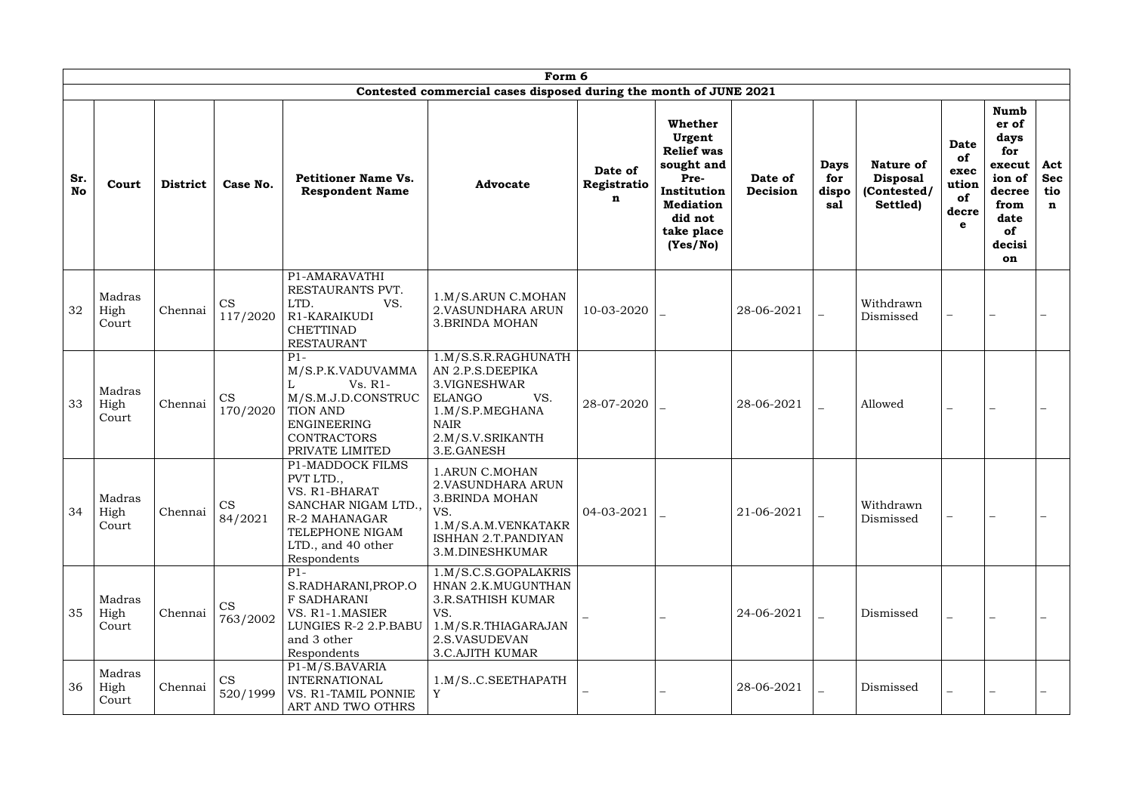|                  | Form 6<br>Contested commercial cases disposed during the month of JUNE 2021 |                 |                       |                                                                                                                                                      |                                                                                                                                                      |                             |                                                                                                                                      |                     |                                    |                                                                |                                                        |                                                                                                         |                                         |
|------------------|-----------------------------------------------------------------------------|-----------------|-----------------------|------------------------------------------------------------------------------------------------------------------------------------------------------|------------------------------------------------------------------------------------------------------------------------------------------------------|-----------------------------|--------------------------------------------------------------------------------------------------------------------------------------|---------------------|------------------------------------|----------------------------------------------------------------|--------------------------------------------------------|---------------------------------------------------------------------------------------------------------|-----------------------------------------|
| Sr.<br><b>No</b> | Court                                                                       | <b>District</b> | Case No.              | <b>Petitioner Name Vs.</b><br><b>Respondent Name</b>                                                                                                 | <b>Advocate</b>                                                                                                                                      | Date of<br>Registratio<br>n | Whether<br>Urgent<br><b>Relief was</b><br>sought and<br>Pre-<br>Institution<br><b>Mediation</b><br>did not<br>take place<br>(Yes/No) | Date of<br>Decision | <b>Days</b><br>for<br>dispo<br>sal | <b>Nature of</b><br><b>Disposal</b><br>(Contested/<br>Settled) | <b>Date</b><br>of<br>exec<br>ution<br>of<br>decre<br>e | <b>Numb</b><br>er of<br>days<br>for<br>execut<br>ion of<br>decree<br>from<br>date<br>of<br>decisi<br>on | Act<br><b>Sec</b><br>tio<br>$\mathbf n$ |
| 32               | Madras<br>High<br>Court                                                     | Chennai         | <b>CS</b><br>117/2020 | P1-AMARAVATHI<br>RESTAURANTS PVT.<br>LTD.<br>VS.<br>R1-KARAIKUDI<br><b>CHETTINAD</b><br><b>RESTAURANT</b>                                            | 1.M/S.ARUN C.MOHAN<br>2. VASUNDHARA ARUN<br><b>3.BRINDA MOHAN</b>                                                                                    | 10-03-2020                  |                                                                                                                                      | 28-06-2021          |                                    | Withdrawn<br>Dismissed                                         | $\qquad \qquad -$                                      |                                                                                                         |                                         |
| 33               | Madras<br>High<br>Court                                                     | Chennai         | CS<br>170/2020        | $P1-$<br>M/S.P.K.VADUVAMMA<br>$Vs. R1-$<br>L<br>M/S.M.J.D.CONSTRUC<br><b>TION AND</b><br><b>ENGINEERING</b><br><b>CONTRACTORS</b><br>PRIVATE LIMITED | 1.M/S.S.R.RAGHUNATH<br>AN 2.P.S.DEEPIKA<br>3. VIGNESHWAR<br>VS.<br><b>ELANGO</b><br>1.M/S.P.MEGHANA<br><b>NAIR</b><br>2.M/S.V.SRIKANTH<br>3.E.GANESH | 28-07-2020                  |                                                                                                                                      | 28-06-2021          |                                    | Allowed                                                        | $-$                                                    |                                                                                                         |                                         |
| 34               | Madras<br>High<br>Court                                                     | Chennai         | <b>CS</b><br>84/2021  | P1-MADDOCK FILMS<br>PVT LTD.,<br>VS. R1-BHARAT<br>SANCHAR NIGAM LTD.,<br>R-2 MAHANAGAR<br>TELEPHONE NIGAM<br>LTD., and 40 other<br>Respondents       | 1.ARUN C.MOHAN<br>2. VASUNDHARA ARUN<br><b>3.BRINDA MOHAN</b><br>VS.<br>1.M/S.A.M.VENKATAKR<br>ISHHAN 2.T.PANDIYAN<br>3.M.DINESHKUMAR                | 04-03-2021                  |                                                                                                                                      | 21-06-2021          |                                    | Withdrawn<br>Dismissed                                         |                                                        |                                                                                                         |                                         |
| 35               | Madras<br>High<br>Court                                                     | Chennai         | <b>CS</b><br>763/2002 | $P1 -$<br>S.RADHARANI, PROP.O<br>F SADHARANI<br>VS. R1-1.MASIER<br>LUNGIES R-2 2.P.BABU<br>and 3 other<br>Respondents                                | 1.M/S.C.S.GOPALAKRIS<br>HNAN 2.K.MUGUNTHAN<br><b>3.R.SATHISH KUMAR</b><br>VS.<br>1.M/S.R.THIAGARAJAN<br>2.S.VASUDEVAN<br><b>3.C.AJITH KUMAR</b>      |                             |                                                                                                                                      | 24-06-2021          |                                    | Dismissed                                                      | $\overline{\phantom{0}}$                               |                                                                                                         |                                         |
| 36               | Madras<br>High<br>Court                                                     | Chennai         | <b>CS</b><br>520/1999 | P1-M/S.BAVARIA<br><b>INTERNATIONAL</b><br>VS. R1-TAMIL PONNIE<br>ART AND TWO OTHRS                                                                   | 1.M/SC.SEETHAPATH<br>Y                                                                                                                               |                             |                                                                                                                                      | 28-06-2021          |                                    | Dismissed                                                      | $\overline{\phantom{0}}$                               |                                                                                                         |                                         |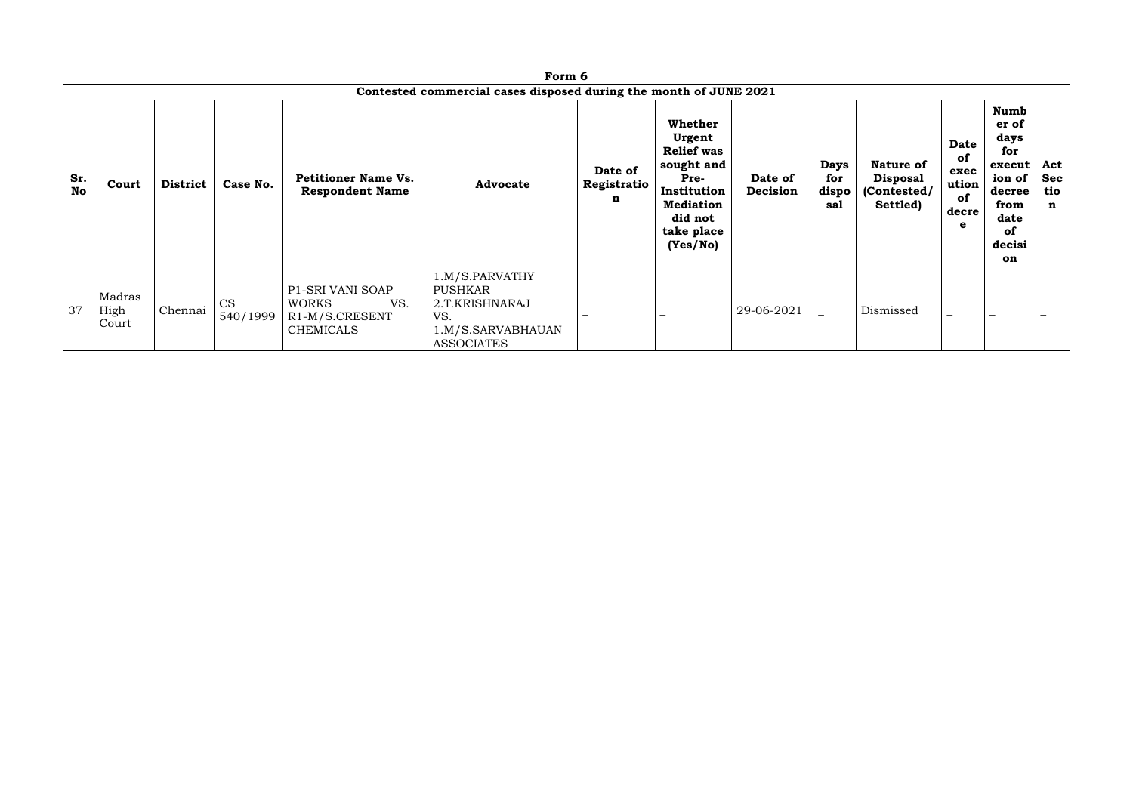|                  |                         |                 |                       |                                                                               | Form 6                                                                                              |                             |                                                                                                                                      |                     |                                    |                                                                |                                                        |                                                                                                         |                                         |
|------------------|-------------------------|-----------------|-----------------------|-------------------------------------------------------------------------------|-----------------------------------------------------------------------------------------------------|-----------------------------|--------------------------------------------------------------------------------------------------------------------------------------|---------------------|------------------------------------|----------------------------------------------------------------|--------------------------------------------------------|---------------------------------------------------------------------------------------------------------|-----------------------------------------|
| Sr.<br><b>No</b> | Court                   | <b>District</b> | Case No.              | <b>Petitioner Name Vs.</b><br><b>Respondent Name</b>                          | Contested commercial cases disposed during the month of JUNE 2021<br><b>Advocate</b>                | Date of<br>Registratio<br>n | Whether<br>Urgent<br><b>Relief was</b><br>sought and<br>Pre-<br>Institution<br><b>Mediation</b><br>did not<br>take place<br>(Yes/No) | Date of<br>Decision | <b>Days</b><br>for<br>dispo<br>sal | <b>Nature of</b><br><b>Disposal</b><br>(Contested/<br>Settled) | <b>Date</b><br>of<br>exec<br>ution<br>of<br>decre<br>е | Numb<br>er of<br>days<br>for<br>execut<br>ion of<br>decree<br>from<br>date<br><b>of</b><br>decisi<br>on | Act<br><b>Sec</b><br>tio<br>$\mathbf n$ |
| 37               | Madras<br>High<br>Court | Chennai         | <b>CS</b><br>540/1999 | P1-SRI VANI SOAP<br>VS.<br><b>WORKS</b><br>R1-M/S.CRESENT<br><b>CHEMICALS</b> | 1.M/S.PARVATHY<br><b>PUSHKAR</b><br>2.T.KRISHNARAJ<br>VS.<br>1.M/S.SARVABHAUAN<br><b>ASSOCIATES</b> |                             |                                                                                                                                      | 29-06-2021          |                                    | Dismissed                                                      | $\overline{\phantom{0}}$                               |                                                                                                         |                                         |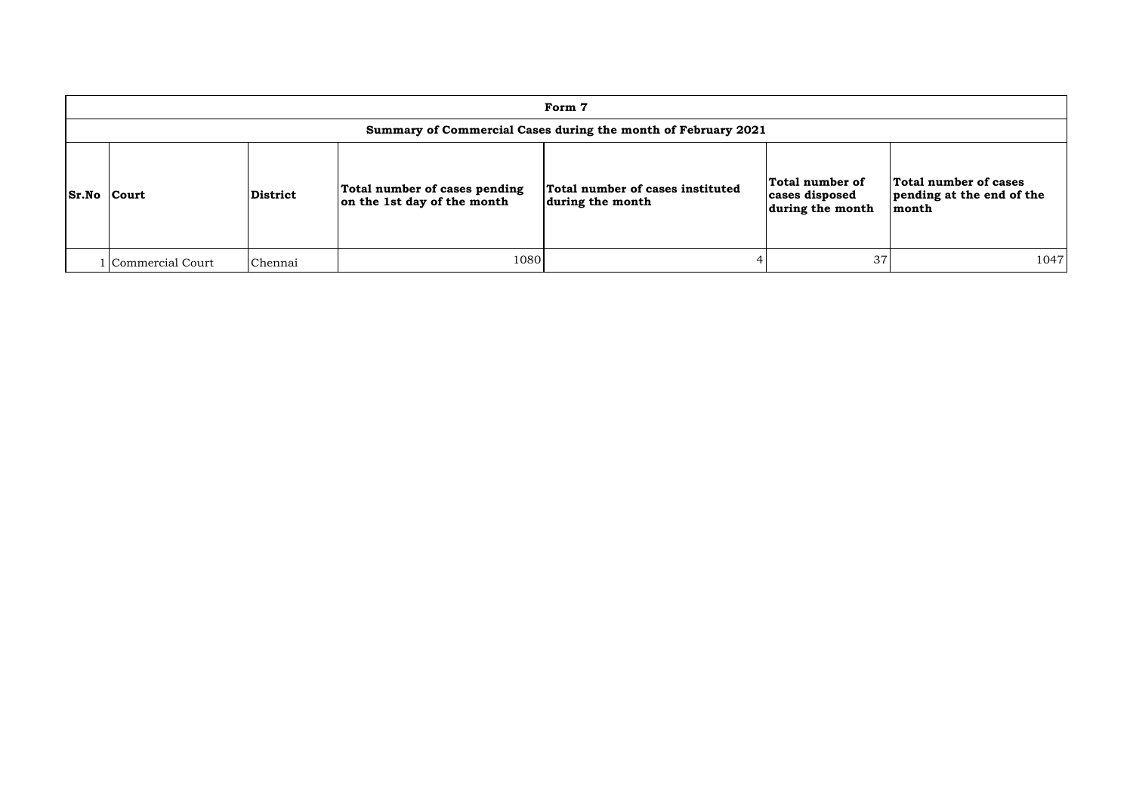|                    | Form 7             |                 |                                                              |                                                               |                                                       |                                                             |  |  |  |  |
|--------------------|--------------------|-----------------|--------------------------------------------------------------|---------------------------------------------------------------|-------------------------------------------------------|-------------------------------------------------------------|--|--|--|--|
|                    |                    |                 |                                                              | Summary of Commercial Cases during the month of February 2021 |                                                       |                                                             |  |  |  |  |
| <b>Sr.No Court</b> |                    | <b>District</b> | Total number of cases pending<br>on the 1st day of the month | Total number of cases instituted<br>during the month          | Total number of<br>cases disposed<br>during the month | Total number of cases<br>pending at the end of the<br>month |  |  |  |  |
|                    | l Commercial Court | Chennai         | 1080                                                         |                                                               | 37                                                    | 1047                                                        |  |  |  |  |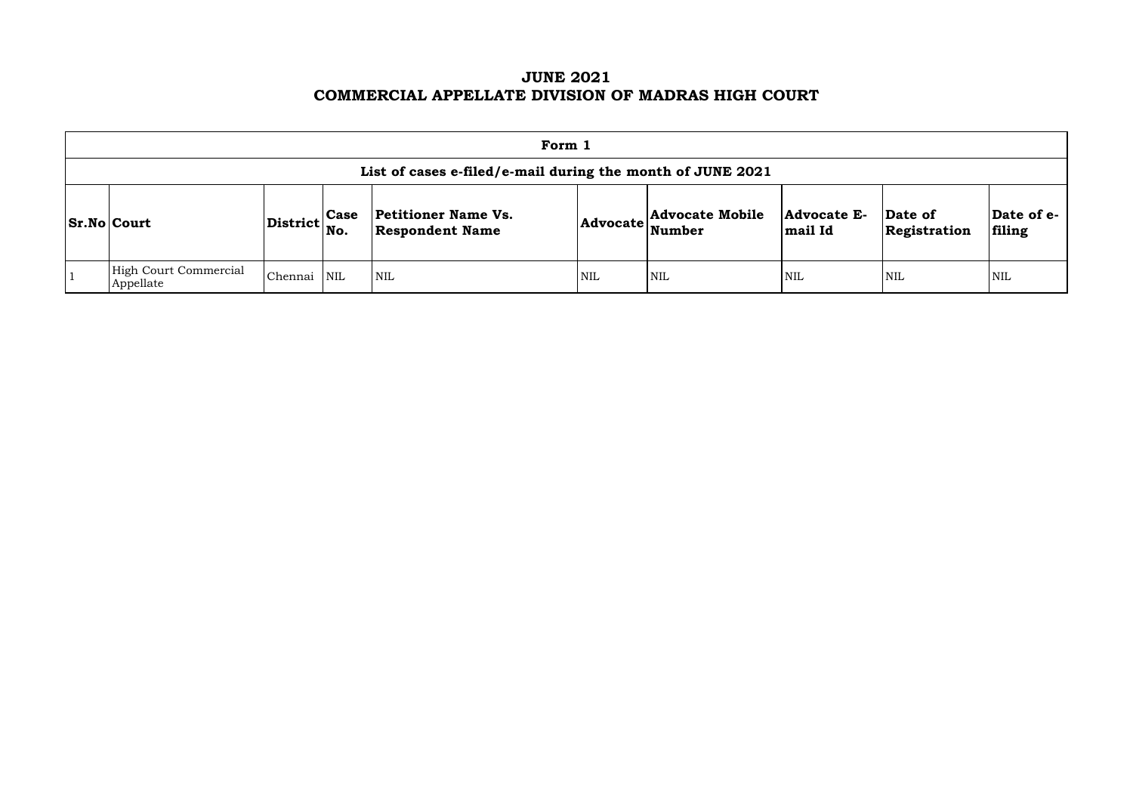# **JUNE 2021 COMMERCIAL APPELLATE DIVISION OF MADRAS HIGH COURT**

| Form 1                                                     |                                   |             |                                                      |            |                                  |                               |                         |                      |  |  |
|------------------------------------------------------------|-----------------------------------|-------------|------------------------------------------------------|------------|----------------------------------|-------------------------------|-------------------------|----------------------|--|--|
| List of cases e-filed/e-mail during the month of JUNE 2021 |                                   |             |                                                      |            |                                  |                               |                         |                      |  |  |
| <b>Sr.No Court</b>                                         | $ {\rm District} {\rm \Big }$ No. | <b>Case</b> | <b>Petitioner Name Vs.</b><br><b>Respondent Name</b> | Advocate   | <b>Advocate Mobile</b><br>Number | <b>Advocate E-</b><br>mail Id | Date of<br>Registration | Date of e-<br>filing |  |  |
| High Court Commercial<br>Appellate                         | Chennai                           | NIL         | $\mathsf{I}\,\mathrm{NIL}$                           | <b>NIL</b> | <b>NIL</b>                       | <b>NIL</b>                    | <b>NIL</b>              | <b>NIL</b>           |  |  |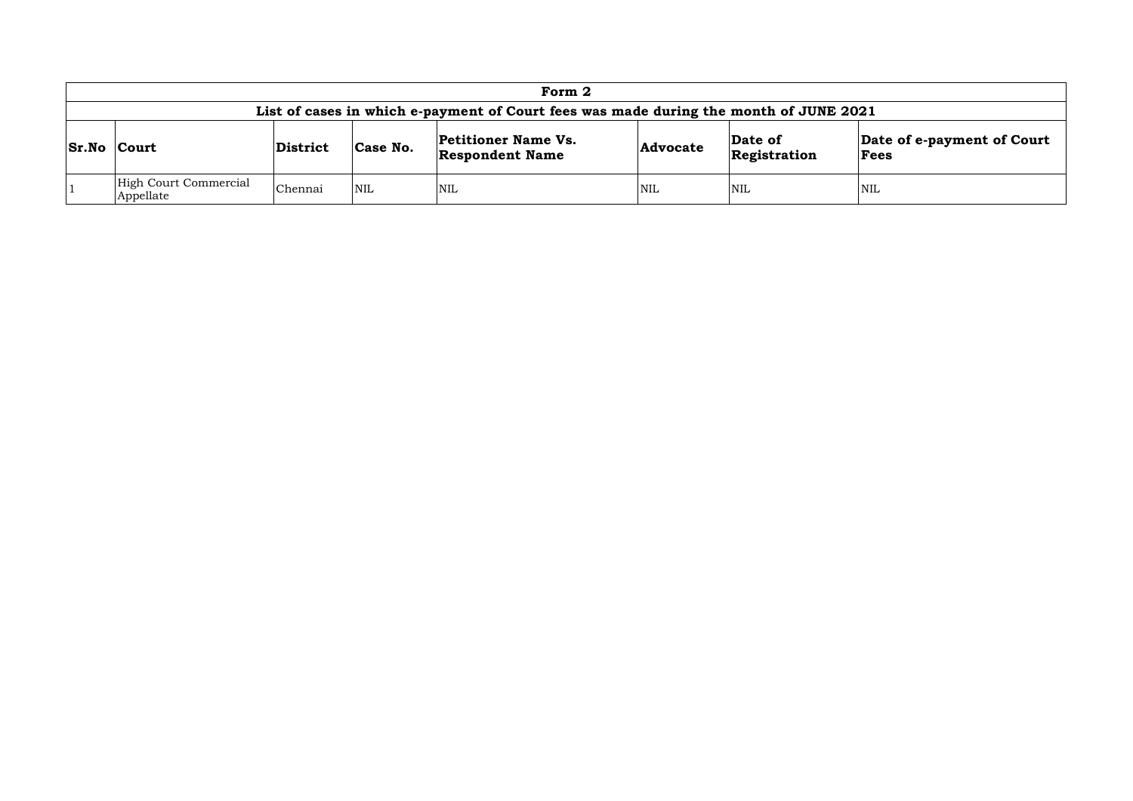|                    | Form 2                                                                                |          |            |                                                      |                 |                         |                                    |  |  |  |  |
|--------------------|---------------------------------------------------------------------------------------|----------|------------|------------------------------------------------------|-----------------|-------------------------|------------------------------------|--|--|--|--|
|                    | List of cases in which e-payment of Court fees was made during the month of JUNE 2021 |          |            |                                                      |                 |                         |                                    |  |  |  |  |
| <b>Sr.No Court</b> |                                                                                       | District | Case No.   | <b>Petitioner Name Vs.</b><br><b>Respondent Name</b> | <b>Advocate</b> | Date of<br>Registration | Date of e-payment of Court<br>Fees |  |  |  |  |
|                    | High Court Commercial<br>Appellate                                                    | Chennai  | <b>NIL</b> | NIL                                                  | <b>NIL</b>      | <b>NIL</b>              | <b>NIL</b>                         |  |  |  |  |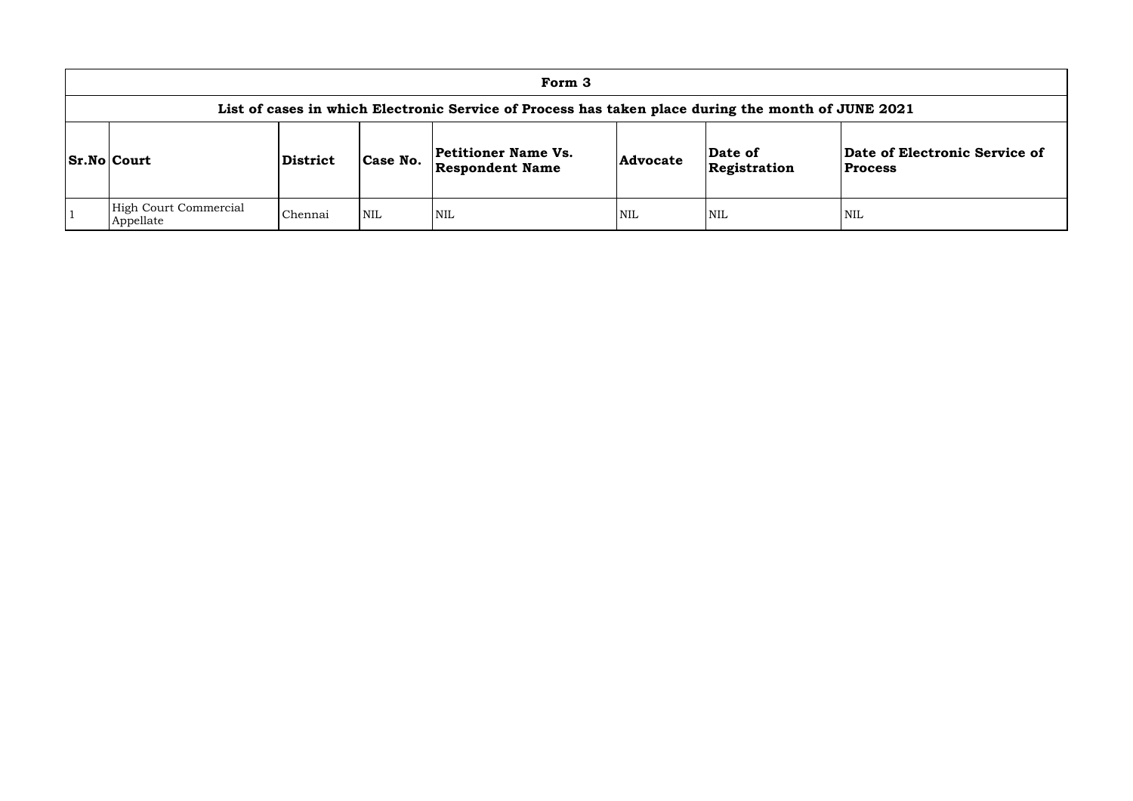|                                                                                                    |          |            | Form 3                                               |            |                         |                              |  |  |  |  |  |  |
|----------------------------------------------------------------------------------------------------|----------|------------|------------------------------------------------------|------------|-------------------------|------------------------------|--|--|--|--|--|--|
| List of cases in which Electronic Service of Process has taken place during the month of JUNE 2021 |          |            |                                                      |            |                         |                              |  |  |  |  |  |  |
| <b>Sr.No Court</b>                                                                                 | District | Case No.   | <b>Petitioner Name Vs.</b><br><b>Respondent Name</b> | Advocate   | Date of<br>Registration | Date of El<br><b>Process</b> |  |  |  |  |  |  |
| High Court Commercial<br>Appellate                                                                 | Chennai  | <b>NIL</b> | NIL                                                  | <b>NIL</b> | <b>NIL</b>              | <b>NIL</b>                   |  |  |  |  |  |  |

## **Date of Electronic Service of Process**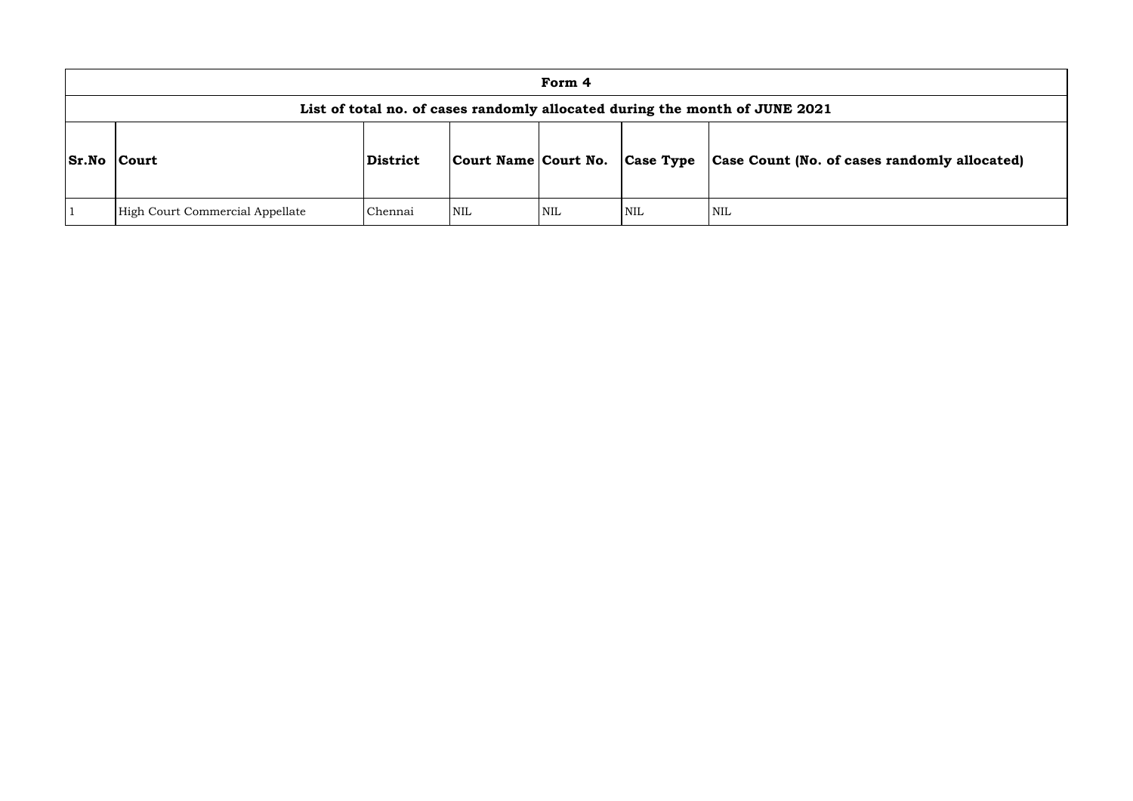|              |                                 |                 |                      | Form 4 |                  |                                                                             |
|--------------|---------------------------------|-----------------|----------------------|--------|------------------|-----------------------------------------------------------------------------|
|              |                                 |                 |                      |        |                  | List of total no. of cases randomly allocated during the month of JUNE 2021 |
| <b>Sr.No</b> | <b>Court</b>                    | <b>District</b> | Court Name Court No. |        | <b>Case Type</b> | Case Count (No. of ca                                                       |
|              | High Court Commercial Appellate | Chennai         | NIL                  | NIL    | <b>NIL</b>       | <b>NIL</b>                                                                  |

# **Sr.No Court District Court Name Court No. Case Type Case Count (No. of cases randomly allocated)**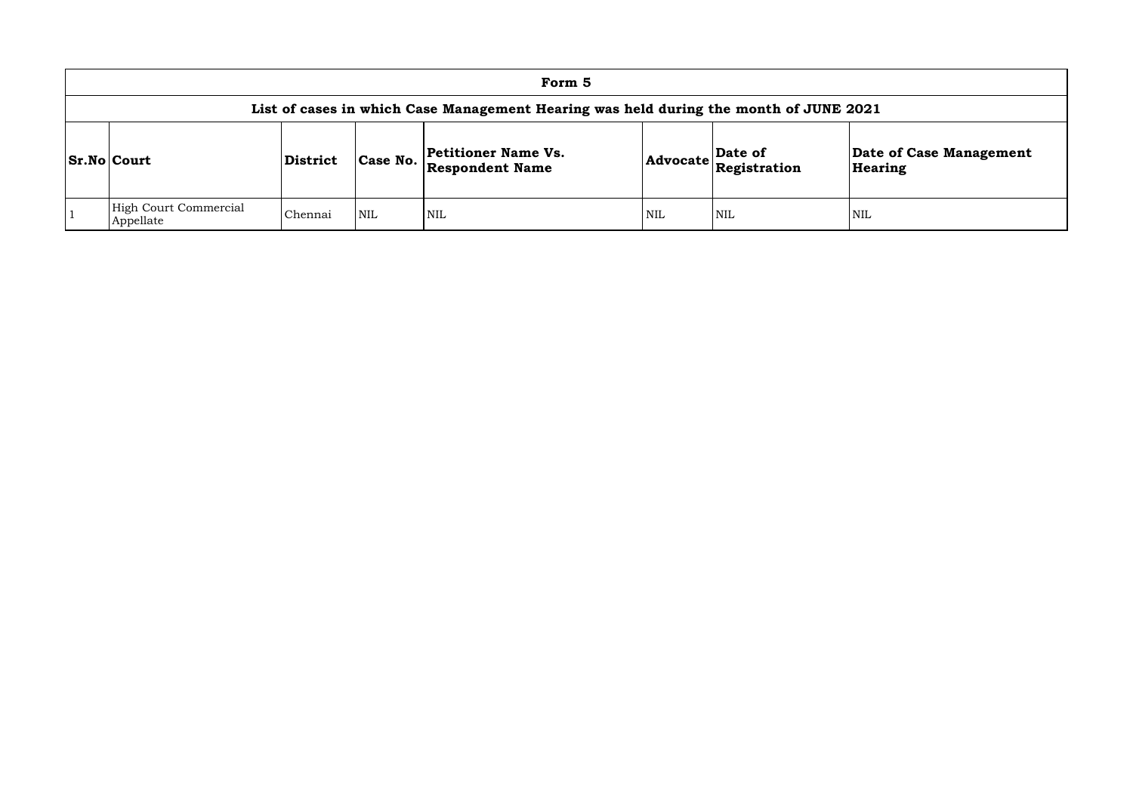|                                                                                       |                 |          | Form 5                                               |            |                                                            |             |  |  |  |  |  |  |
|---------------------------------------------------------------------------------------|-----------------|----------|------------------------------------------------------|------------|------------------------------------------------------------|-------------|--|--|--|--|--|--|
| List of cases in which Case Management Hearing was held during the month of JUNE 2021 |                 |          |                                                      |            |                                                            |             |  |  |  |  |  |  |
| <b>Sr.No Court</b>                                                                    | <b>District</b> | Case No. | <b>Petitioner Name Vs.</b><br><b>Respondent Name</b> |            | Date of<br>$ {\sf Advocate} \overline{\sf{Registration}} $ | Date<br>Hea |  |  |  |  |  |  |
| High Court Commercial<br>Appellate                                                    | Chennai         | NIL      | <b>NIL</b>                                           | <b>NIL</b> | <b>NIL</b>                                                 | <b>NIL</b>  |  |  |  |  |  |  |

## **Date of Case Management Hearing**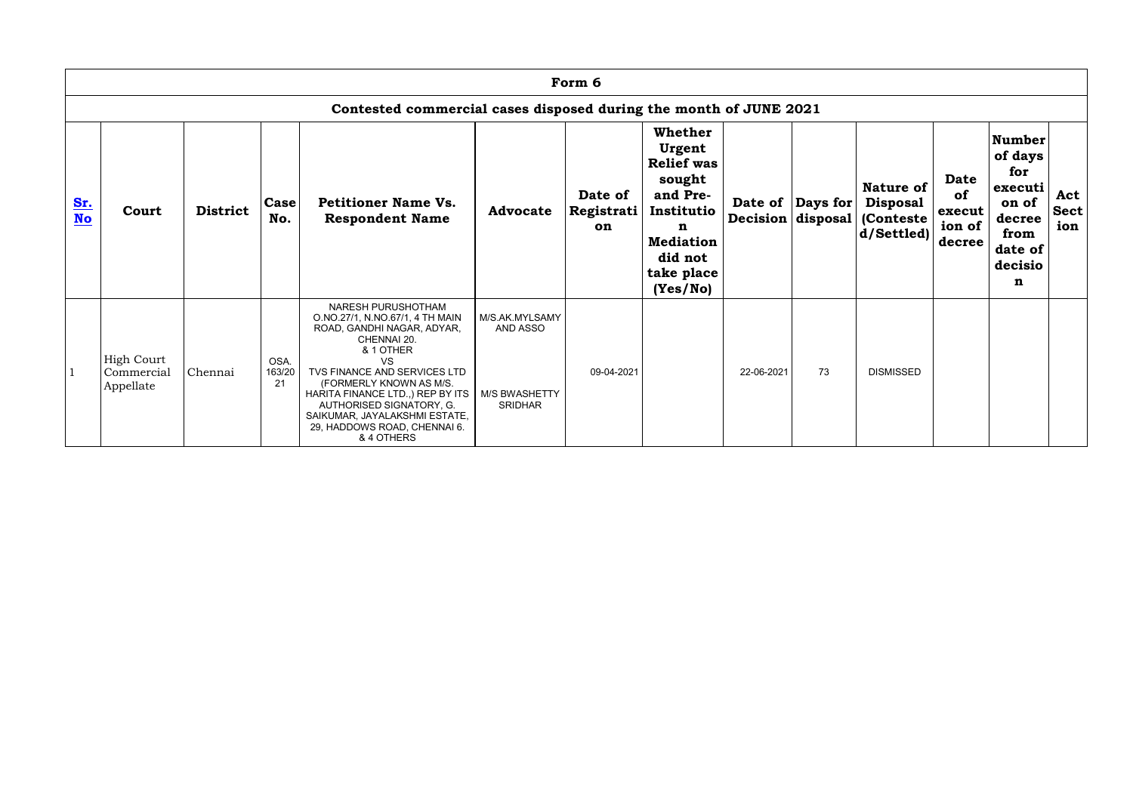|                  | Form 6                                                            |                 |                      |                                                                                                                                                                                                                                                                                                                                       |                                                                      |                             |                                                                                                                                                 |                   |                   |                                                                        |                                                        |                                                                                                  |                           |
|------------------|-------------------------------------------------------------------|-----------------|----------------------|---------------------------------------------------------------------------------------------------------------------------------------------------------------------------------------------------------------------------------------------------------------------------------------------------------------------------------------|----------------------------------------------------------------------|-----------------------------|-------------------------------------------------------------------------------------------------------------------------------------------------|-------------------|-------------------|------------------------------------------------------------------------|--------------------------------------------------------|--------------------------------------------------------------------------------------------------|---------------------------|
|                  | Contested commercial cases disposed during the month of JUNE 2021 |                 |                      |                                                                                                                                                                                                                                                                                                                                       |                                                                      |                             |                                                                                                                                                 |                   |                   |                                                                        |                                                        |                                                                                                  |                           |
| Sr.<br><b>No</b> | Court                                                             | <b>District</b> | Case<br>No.          | <b>Petitioner Name Vs.</b><br><b>Respondent Name</b>                                                                                                                                                                                                                                                                                  | <b>Advocate</b>                                                      | Date of<br>Registrati<br>on | <b>Whether</b><br>Urgent<br><b>Relief was</b><br>sought<br>and Pre-<br>Institutio<br>n<br><b>Mediation</b><br>did not<br>take place<br>(Yes/No) | Decision disposal | Date of  Days for | <b>Nature of</b><br><b>Disposal</b><br><b>(Conteste)</b><br> d/Settled | <b>Date</b><br><b>of</b><br>execut<br>ion of<br>decree | <b>Number</b><br>of days<br>for<br>executi<br>on of<br>decree<br>from<br>date of<br>decisio<br>n | Act<br><b>Sect</b><br>ion |
|                  | <b>High Court</b><br>Commercial<br>Appellate                      | Chennai         | OSA.<br>163/20<br>21 | NARESH PURUSHOTHAM<br>O.NO.27/1, N.NO.67/1, 4 TH MAIN<br>ROAD, GANDHI NAGAR, ADYAR,<br>CHENNAI 20.<br>& 1 OTHER<br><b>VS</b><br>TVS FINANCE AND SERVICES LTD<br>(FORMERLY KNOWN AS M/S.<br>HARITA FINANCE LTD., REP BY ITS<br>AUTHORISED SIGNATORY, G.<br>SAIKUMAR, JAYALAKSHMI ESTATE,<br>29, HADDOWS ROAD, CHENNAI 6.<br>& 4 OTHERS | M/S.AK.MYLSAMY<br>AND ASSO<br><b>M/S BWASHETTY</b><br><b>SRIDHAR</b> | 09-04-2021                  |                                                                                                                                                 | 22-06-2021        | 73                | <b>DISMISSED</b>                                                       |                                                        |                                                                                                  |                           |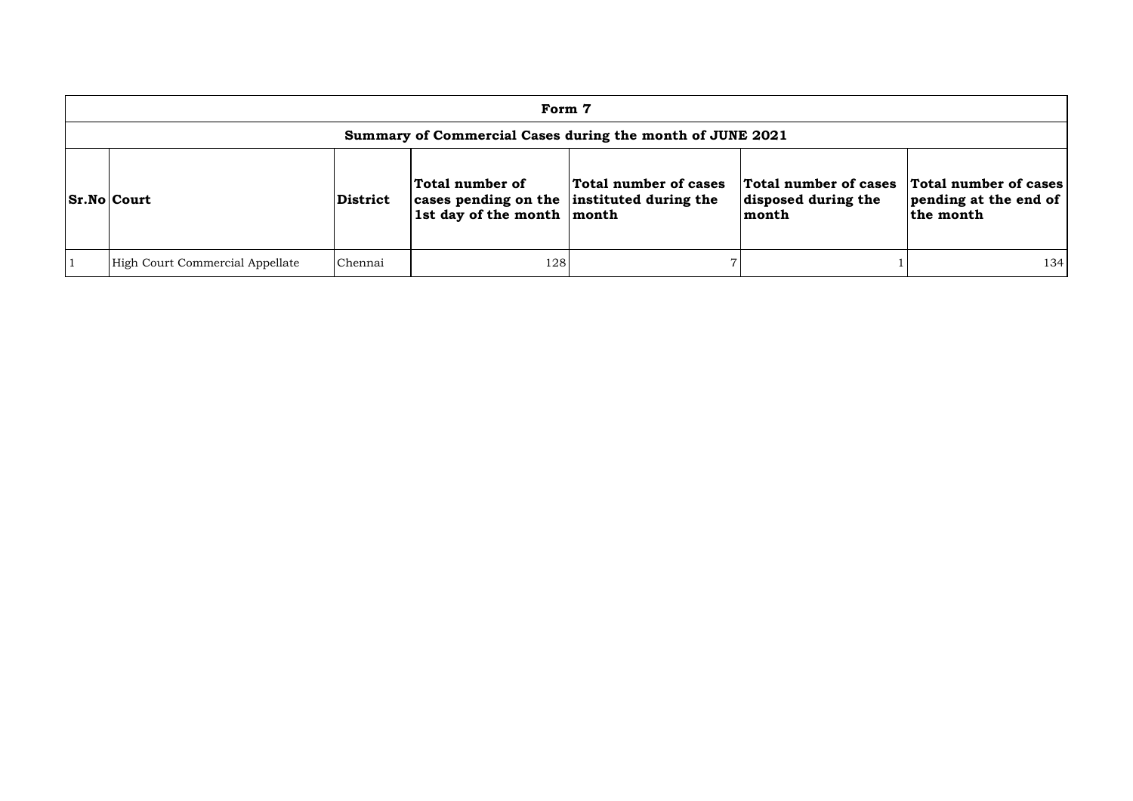| Form 7                                                    |          |                                                                                                 |                       |                                                       |                                                             |  |  |  |  |  |
|-----------------------------------------------------------|----------|-------------------------------------------------------------------------------------------------|-----------------------|-------------------------------------------------------|-------------------------------------------------------------|--|--|--|--|--|
| Summary of Commercial Cases during the month of JUNE 2021 |          |                                                                                                 |                       |                                                       |                                                             |  |  |  |  |  |
| <b>Sr.No Court</b>                                        | District | Total number of<br>cases pending on the instituted during the<br>Ist day of the month $ $ month | Total number of cases | Total number of cases<br>disposed during the<br>month | Total number of cases<br>pending at the end of<br>the month |  |  |  |  |  |
| High Court Commercial Appellate                           | Chennai  | 128                                                                                             |                       |                                                       | 134                                                         |  |  |  |  |  |

| cases<br>the | <b>Total number of cases</b><br>pending at the end of<br>the month |
|--------------|--------------------------------------------------------------------|
|              |                                                                    |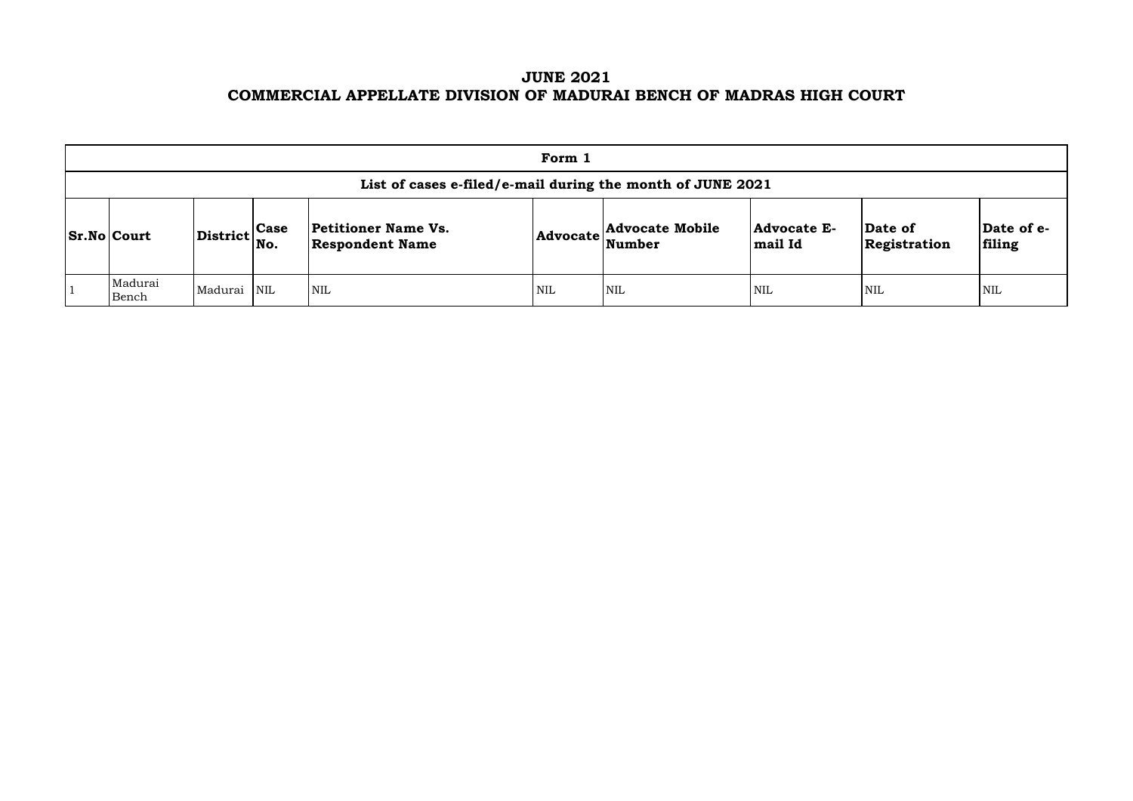# **JUNE 2021 COMMERCIAL APPELLATE DIVISION OF MADURAI BENCH OF MADRAS HIGH COURT**

| Form 1                                                     |                                                           |  |                                               |     |                                                             |                                                |                         |                       |  |  |  |
|------------------------------------------------------------|-----------------------------------------------------------|--|-----------------------------------------------|-----|-------------------------------------------------------------|------------------------------------------------|-------------------------|-----------------------|--|--|--|
| List of cases e-filed/e-mail during the month of JUNE 2021 |                                                           |  |                                               |     |                                                             |                                                |                         |                       |  |  |  |
| $ Sr.No $ Court                                            | $\left \text{District}\right _{\text{No.}}^{\text{Case}}$ |  | Petitioner Name Vs.<br><b>Respondent Name</b> |     | <b>Advocate Mobile</b><br>$ {\bf Advocate} \text{Number} \$ | <b>Advocate E-</b><br>$\left  \right.$ mail Id | Date of<br>Registration | $\mathbf{Da}$<br>fili |  |  |  |
| Madurai<br>Bench                                           | Madurai NIL                                               |  | <b>NIL</b>                                    | NIL | <b>NIL</b>                                                  | <b>NIL</b>                                     | <b>NIL</b>              | NIL                   |  |  |  |

| Date of<br>Registration | Date of e-<br>filing |
|-------------------------|----------------------|
| NIL                     | NH.                  |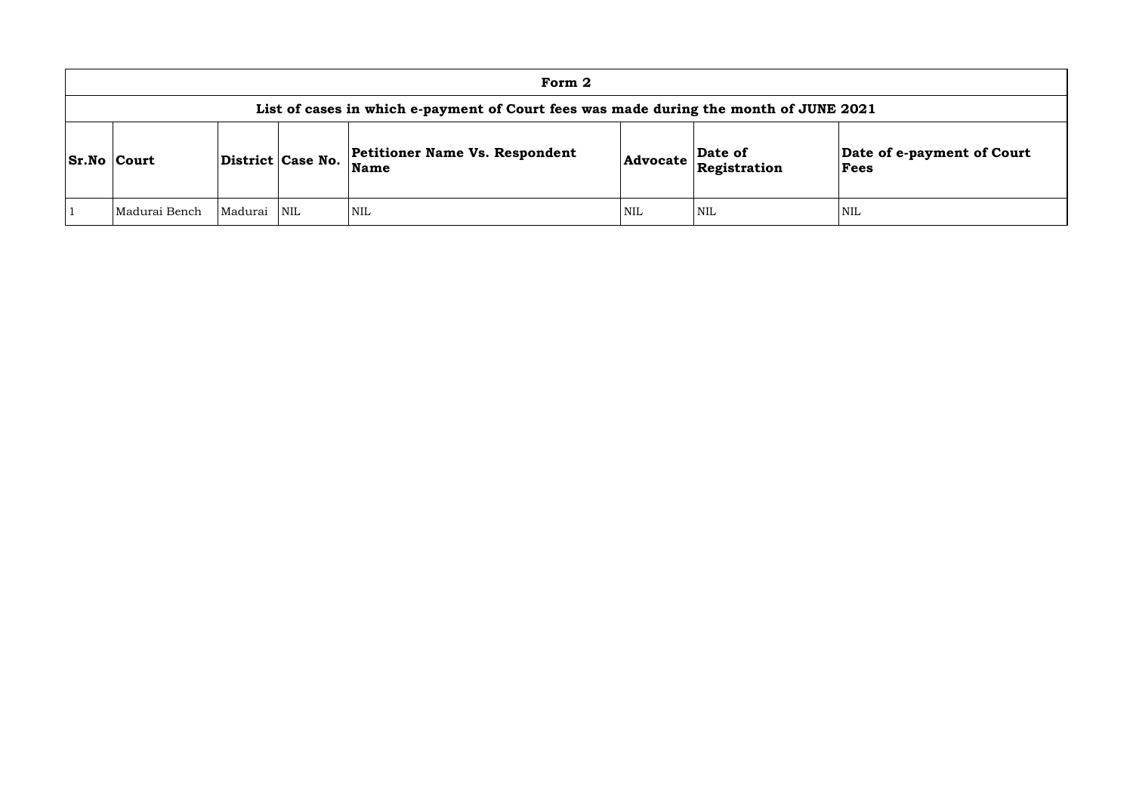| Form 2                                                                                |         |                   |                                                      |                 |                         |                            |  |  |  |  |  |
|---------------------------------------------------------------------------------------|---------|-------------------|------------------------------------------------------|-----------------|-------------------------|----------------------------|--|--|--|--|--|
| List of cases in which e-payment of Court fees was made during the month of JUNE 2021 |         |                   |                                                      |                 |                         |                            |  |  |  |  |  |
| <b>Sr.No Court</b>                                                                    |         | District Case No. | <b>Petitioner Name Vs. Respondent</b><br><b>Name</b> | <b>Advocate</b> | Date of<br>Registration | <b>Date</b><br><b>Fees</b> |  |  |  |  |  |
| Madurai Bench                                                                         | Madurai | <b>NIL</b>        | <b>NIL</b>                                           | NIL             | NIL                     | NIL                        |  |  |  |  |  |

## **Date of e-payment of Court Fees**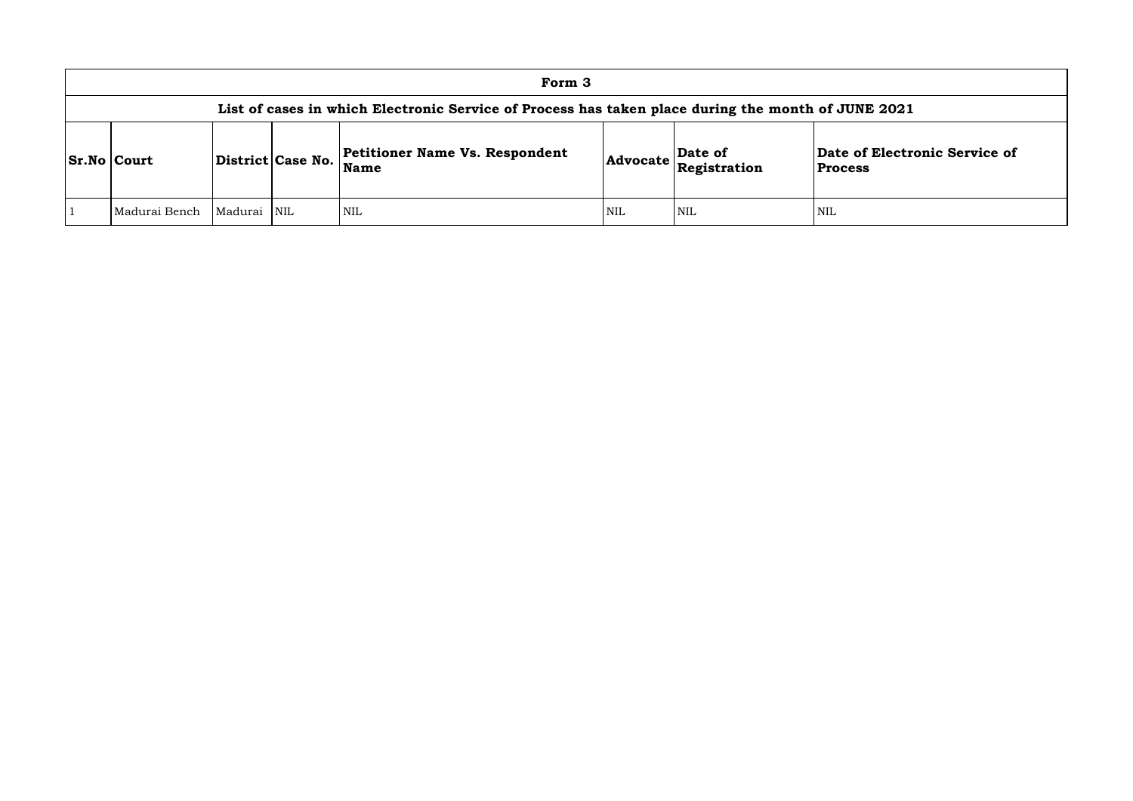### **of Electronic Service of Process**

| Form 3                                                                                             |         |                         |                                                      |            |                         |                                  |  |  |  |  |
|----------------------------------------------------------------------------------------------------|---------|-------------------------|------------------------------------------------------|------------|-------------------------|----------------------------------|--|--|--|--|
| List of cases in which Electronic Service of Process has taken place during the month of JUNE 2021 |         |                         |                                                      |            |                         |                                  |  |  |  |  |
| <b>Sr.No Court</b>                                                                                 |         | District Case No.       | <b>Petitioner Name Vs. Respondent</b><br><b>Name</b> | Advocate   | Date of<br>Registration | Date of Electr<br><b>Process</b> |  |  |  |  |
| Madurai Bench                                                                                      | Madurai | $\overline{\text{NIL}}$ | <b>NIL</b>                                           | <b>NIL</b> | <b>NIL</b>              | <b>NIL</b>                       |  |  |  |  |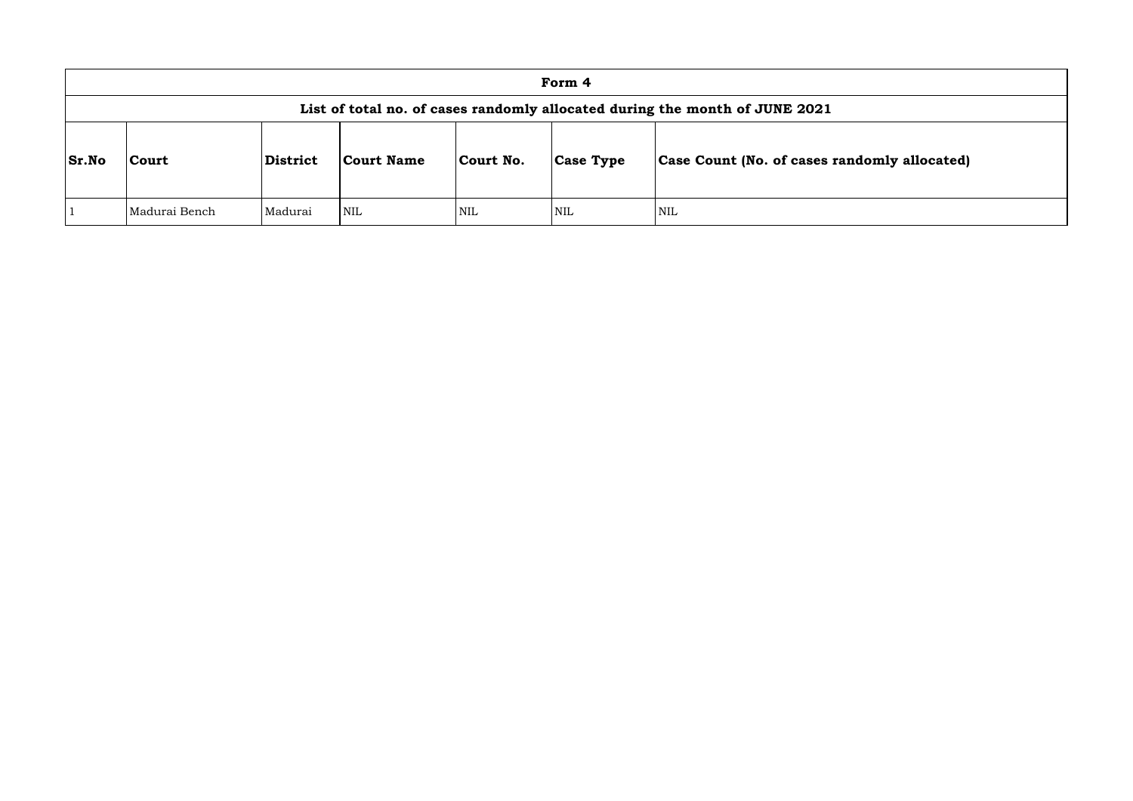|              | Form 4                                                                      |                |            |            |                  |                               |  |  |  |  |  |
|--------------|-----------------------------------------------------------------------------|----------------|------------|------------|------------------|-------------------------------|--|--|--|--|--|
|              | List of total no. of cases randomly allocated during the month of JUNE 2021 |                |            |            |                  |                               |  |  |  |  |  |
| <b>Sr.No</b> | Court                                                                       | District       | Court Name | Court No.  | <b>Case Type</b> | Case Count (No. of cases rand |  |  |  |  |  |
|              | Madurai Bench                                                               | <b>Madurai</b> | <b>NIL</b> | <b>NIL</b> | <b>NIL</b>       | NIL                           |  |  |  |  |  |

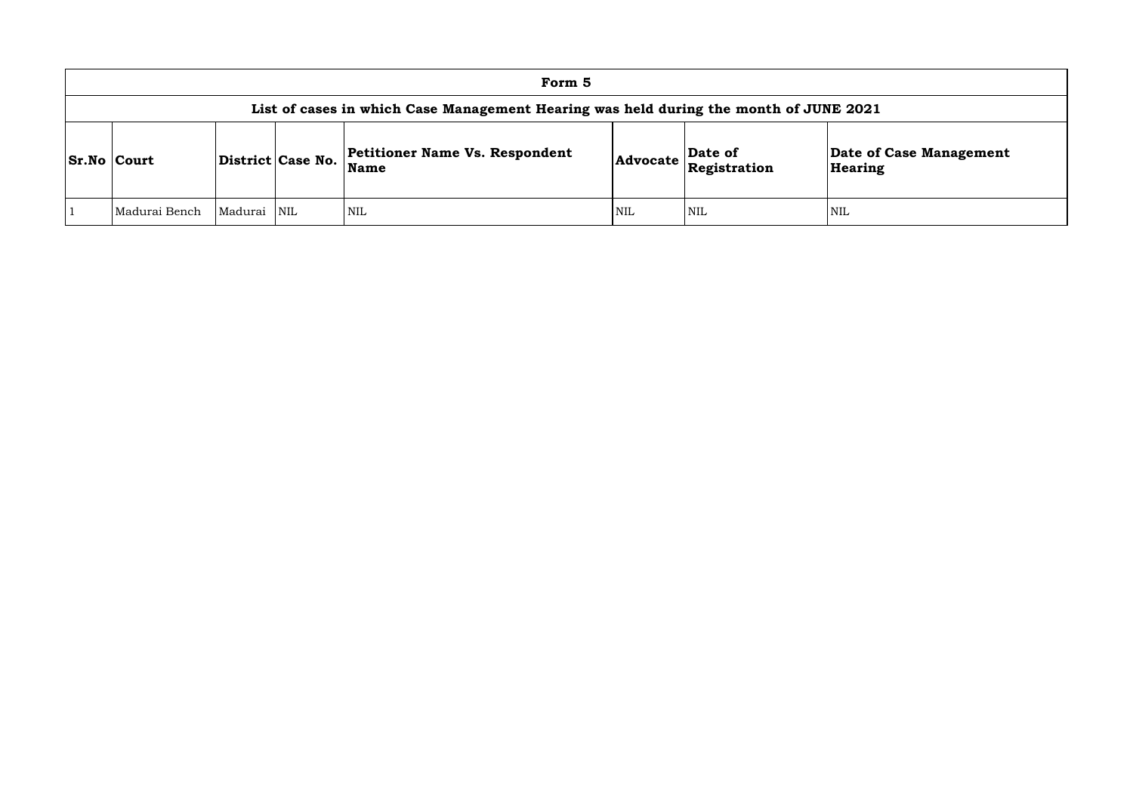| Form 5                                                                                |         |                         |                                               |            |                                                                            |                    |  |  |  |  |  |
|---------------------------------------------------------------------------------------|---------|-------------------------|-----------------------------------------------|------------|----------------------------------------------------------------------------|--------------------|--|--|--|--|--|
| List of cases in which Case Management Hearing was held during the month of JUNE 2021 |         |                         |                                               |            |                                                                            |                    |  |  |  |  |  |
| <b>Sr.No Court</b>                                                                    |         | District Case No.       | Petitioner Name Vs. Respondent<br><b>Name</b> |            | Date of<br>$ {\bf Advocate}\left \stackrel{\text{---}}{\text{Res}}\right $ | Date of<br>Hearing |  |  |  |  |  |
| Madurai Bench                                                                         | Madurai | $\overline{\text{NIL}}$ | <b>NIL</b>                                    | <b>NIL</b> | <b>NIL</b>                                                                 | <b>NIL</b>         |  |  |  |  |  |

# **e of Case Management** ring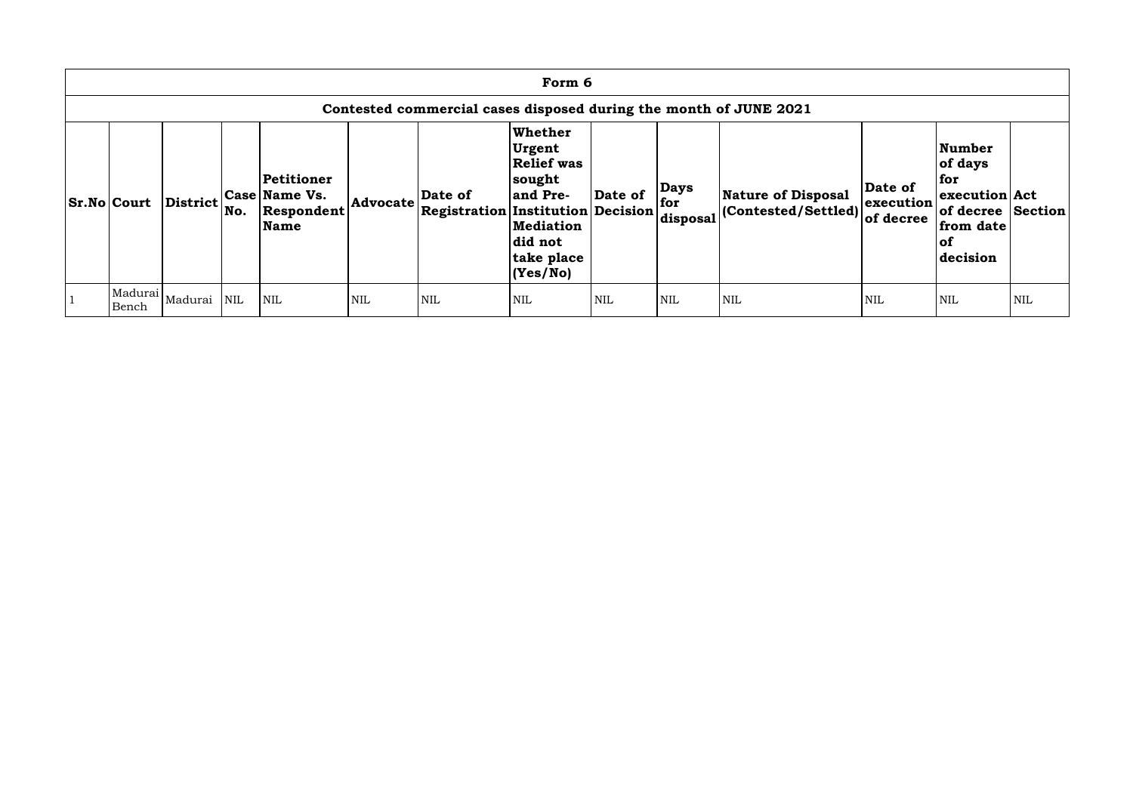| Form 6                                                            |                             |            |                                                          |            |                                                     |                                                                                                                                |            |                                |                                                   |                                   |                                                                                                          |     |
|-------------------------------------------------------------------|-----------------------------|------------|----------------------------------------------------------|------------|-----------------------------------------------------|--------------------------------------------------------------------------------------------------------------------------------|------------|--------------------------------|---------------------------------------------------|-----------------------------------|----------------------------------------------------------------------------------------------------------|-----|
| Contested commercial cases disposed during the month of JUNE 2021 |                             |            |                                                          |            |                                                     |                                                                                                                                |            |                                |                                                   |                                   |                                                                                                          |     |
| <b>Sr.No Court</b>                                                | <b>District</b>             | No.        | Petitioner<br><b>Case Name Vs.</b><br>Respondent<br>Name | Advocate   | Date of<br><b>Registration Institution Decision</b> | Whether<br><b>Urgent</b><br><b>Relief was</b><br> sought<br>and Pre-<br><b>Mediation</b><br>did not<br>take place<br> (Yes/No) | Date of    | <b>Days</b><br>for<br>disposal | Nature of Disposal<br>$ $ (Contested/Settled) $ $ | Date of<br>execution<br>of decree | <b>Number</b><br>of days<br>for<br>execution Act<br>of decree Section<br>from date<br>$ $ of<br>decision |     |
| Bench                                                             | Madurai  <sub>Madurai</sub> | <b>NIL</b> | <b>NIL</b>                                               | <b>NIL</b> | <b>NIL</b>                                          | <b>NIL</b>                                                                                                                     | <b>NIL</b> | <b>NIL</b>                     | <b>NIL</b>                                        | <b>NIL</b>                        | <b>NIL</b>                                                                                               | NIL |